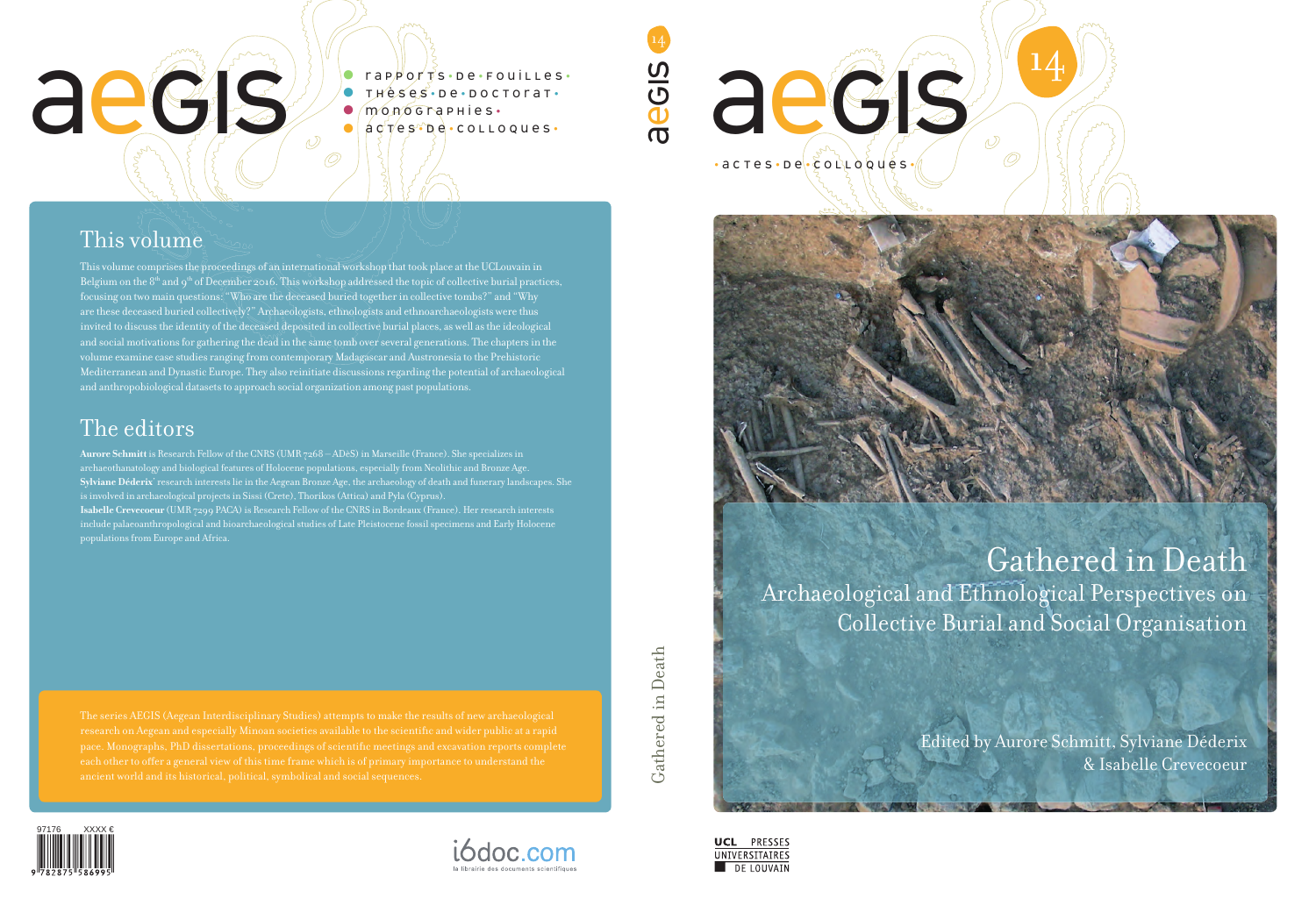

# This volume

# aegis

• rapports • d e • fouilles • **• Thèses · De · DOCTOTAT ·** • monographies •<br>• actes be · colloques •

A

EGIS





Gathered in Death Gathered in Death

> **UNIVERSITAIRES** DE LOUVAIN

This volume comprises the proceedings of an international workshop that took place at the UCLouvain in Belgium on the 8th and 9th of December 2016. This workshop addressed the topic of collective burial practices, focusing on two main questions: "Who are the deceased buried together in collective tombs?" and "Why are these deceased buried collectively?" Archaeologists, ethnologists and ethnoarchaeologists were thus invited to discuss the identity of the deceased deposited in collective burial places, as well as the ideological and social motivations for gathering the dead in the same tomb over several generations. The chapters in the volume examine case studies ranging from contemporary Madagascar and Austronesia to the Prehistoric Mediterranean and Dynastic Europe. They also reinitiate discussions regarding the potential of archaeological and anthropobiological datasets to approach social organization among past populations.

# The editors

**Aurore Schmitt** is Research Fellow of the CNRS (UMR 7268 – ADèS) in Marseille (France). She specializes in archaeothanatology and biological features of Holocene populations, especially from Neolithic and Bronze Age. **Sylviane Déderix**' research interests lie in the Aegean Bronze Age, the archaeology of death and funerary landscapes. She is involved in archaeological projects in Sissi (Crete), Thorikos (Attica) and Pyla (Cyprus). **Isabelle Crevecoeur** (UMR 7299 PACA) is Research Fellow of the CNRS in Bordeaux (France). Her research interests include palaeoanthropological and bioarchaeological studies of Late Pleistocene fossil specimens and Early Holocene populations from Europe and Africa.





14

Õ

Gathered in Death Archaeological and Ethnological Perspectives on Collective Burial and Social Organisation

> Edited by Aurore Schmitt, Sylviane Déderix & Isabelle Crevecoeur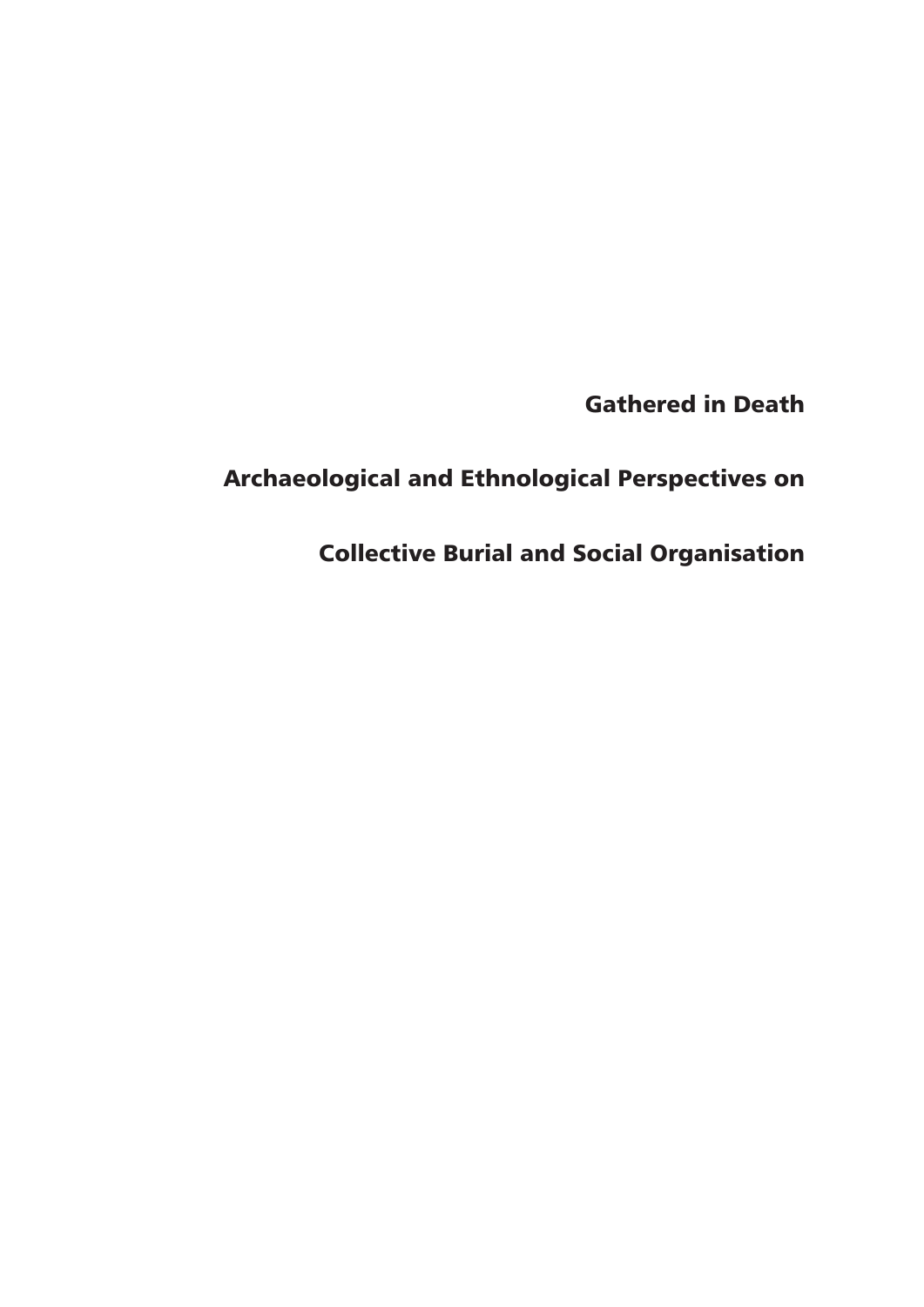Gathered in Death

# Archaeological and Ethnological Perspectives on

Collective Burial and Social Organisation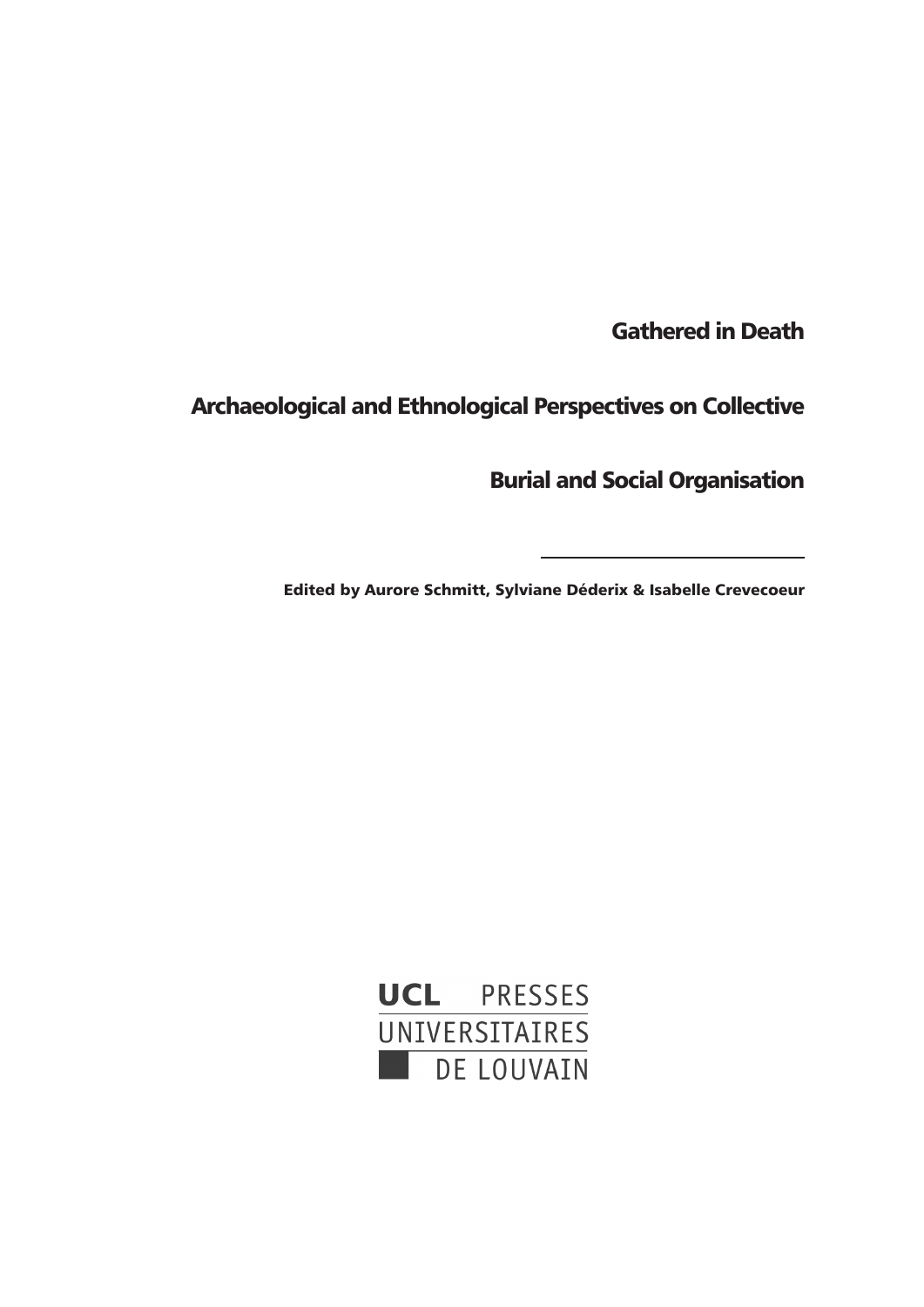Gathered in Death

Archaeological and Ethnological Perspectives on Collective

Burial and Social Organisation

Edited by Aurore Schmitt, Sylviane Déderix & Isabelle Crevecoeur

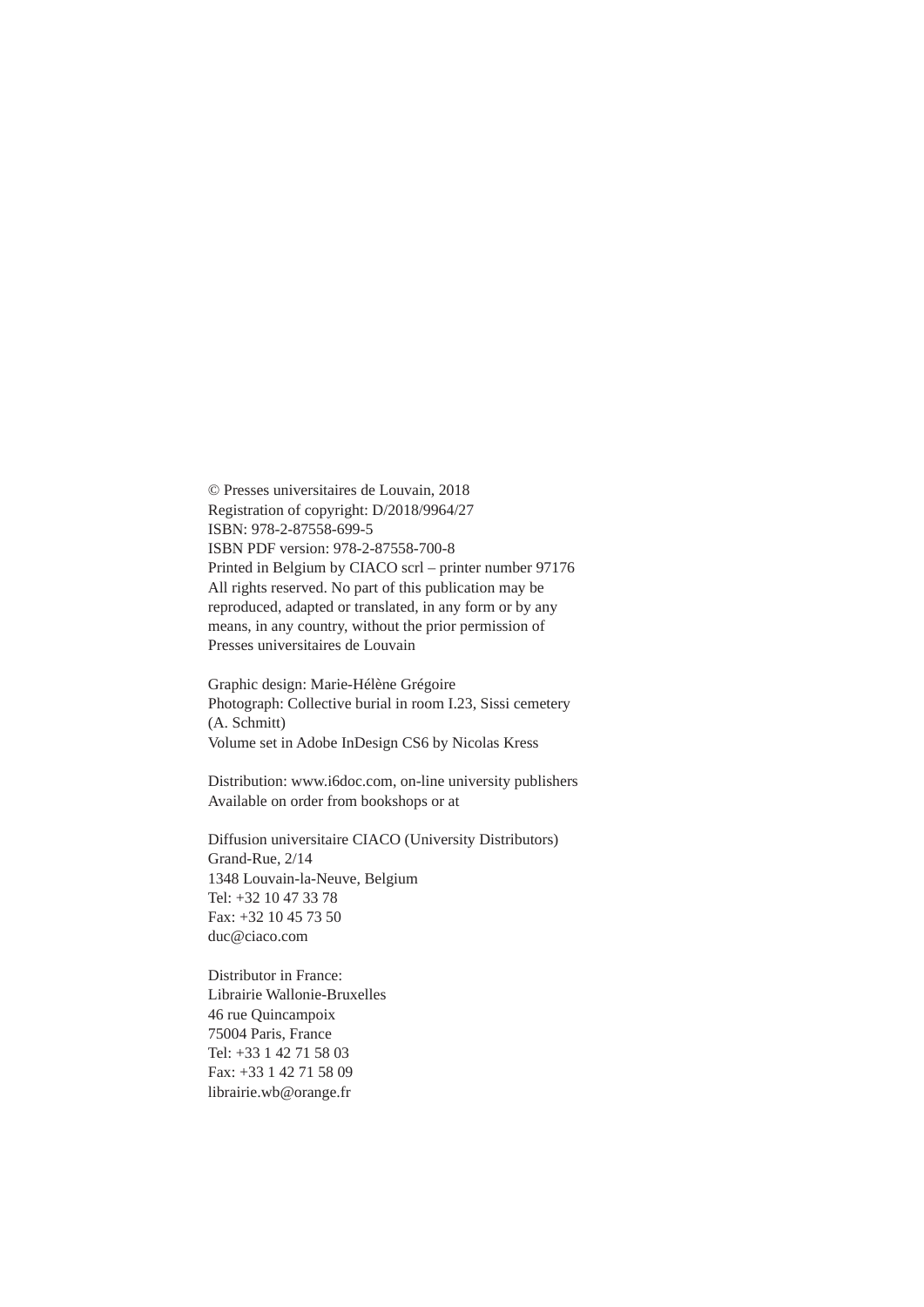© Presses universitaires de Louvain, 2018 Registration of copyright: D/2018/9964/27 ISBN: 978-2-87558-699-5 ISBN PDF version: 978-2-87558-700-8 Printed in Belgium by CIACO scrl – printer number 97176 All rights reserved. No part of this publication may be reproduced, adapted or translated, in any form or by any means, in any country, without the prior permission of Presses universitaires de Louvain

Graphic design: Marie-Hélène Grégoire Photograph: Collective burial in room I.23, Sissi cemetery (A. Schmitt) Volume set in Adobe InDesign CS6 by Nicolas Kress

Distribution: www.i6doc.com, on-line university publishers Available on order from bookshops or at

Diffusion universitaire CIACO (University Distributors) Grand-Rue, 2/14 1348 Louvain-la-Neuve, Belgium Tel: +32 10 47 33 78 Fax: +32 10 45 73 50 duc@ciaco.com

Distributor in France: Librairie Wallonie-Bruxelles 46 rue Quincampoix 75004 Paris, France Tel: +33 1 42 71 58 03 Fax: +33 1 42 71 58 09 librairie.wb@orange.fr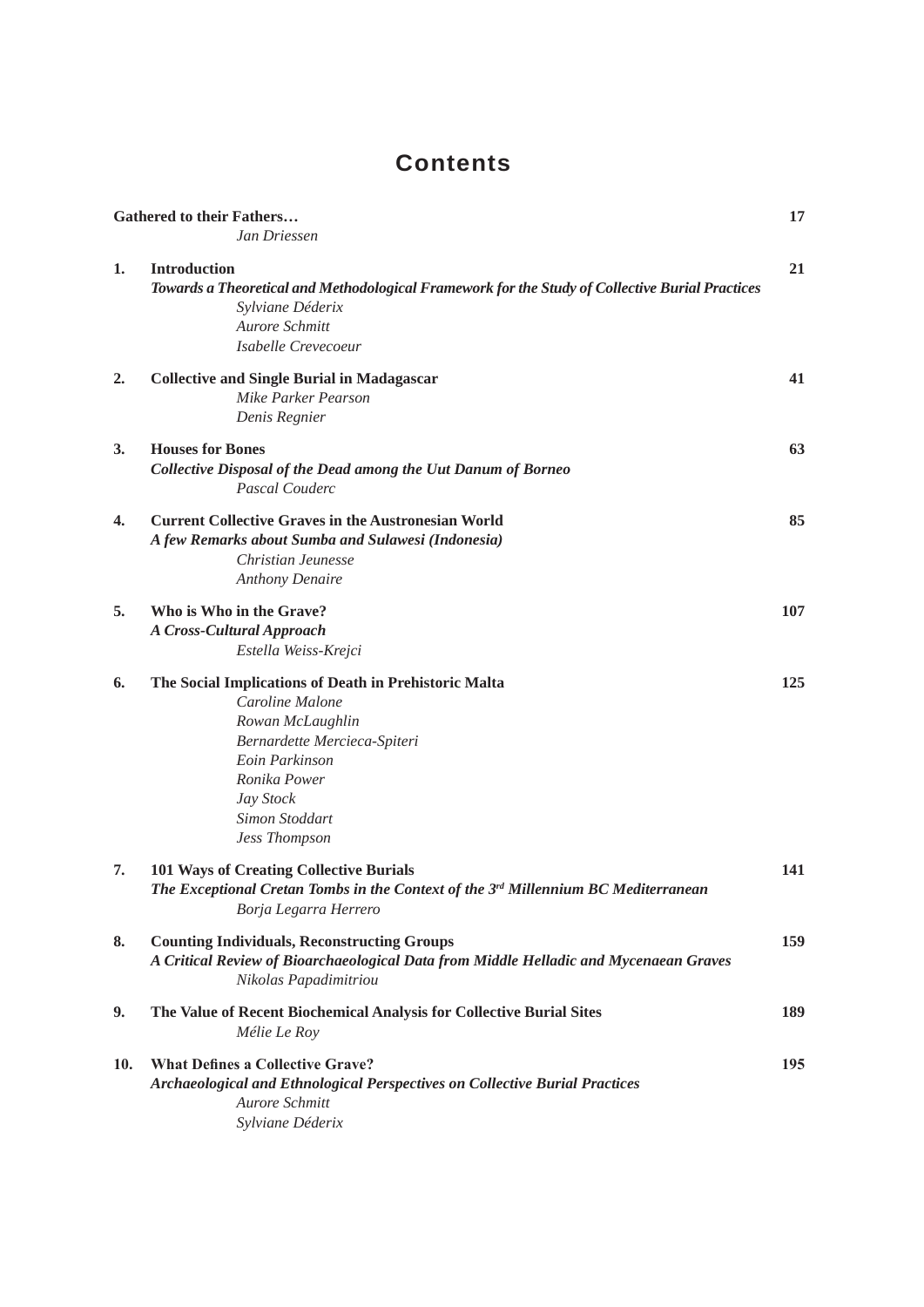# **Contents**

|     | <b>Gathered to their Fathers</b>                                                                | 17  |
|-----|-------------------------------------------------------------------------------------------------|-----|
|     | Jan Driessen                                                                                    |     |
| 1.  | <b>Introduction</b>                                                                             | 21  |
|     | Towards a Theoretical and Methodological Framework for the Study of Collective Burial Practices |     |
|     | Sylviane Déderix                                                                                |     |
|     | Aurore Schmitt                                                                                  |     |
|     | Isabelle Crevecoeur                                                                             |     |
|     |                                                                                                 |     |
| 2.  | <b>Collective and Single Burial in Madagascar</b>                                               | 41  |
|     | Mike Parker Pearson                                                                             |     |
|     | Denis Regnier                                                                                   |     |
| 3.  | <b>Houses for Bones</b>                                                                         | 63  |
|     | Collective Disposal of the Dead among the Uut Danum of Borneo                                   |     |
|     | Pascal Couderc                                                                                  |     |
| 4.  | <b>Current Collective Graves in the Austronesian World</b>                                      | 85  |
|     | A few Remarks about Sumba and Sulawesi (Indonesia)                                              |     |
|     | Christian Jeunesse                                                                              |     |
|     | <b>Anthony Denaire</b>                                                                          |     |
|     |                                                                                                 |     |
| 5.  | Who is Who in the Grave?                                                                        | 107 |
|     | <b>A Cross-Cultural Approach</b>                                                                |     |
|     | Estella Weiss-Krejci                                                                            |     |
| 6.  | The Social Implications of Death in Prehistoric Malta                                           | 125 |
|     | Caroline Malone                                                                                 |     |
|     | Rowan McLaughlin                                                                                |     |
|     | Bernardette Mercieca-Spiteri                                                                    |     |
|     | Eoin Parkinson                                                                                  |     |
|     | Ronika Power                                                                                    |     |
|     | Jay Stock                                                                                       |     |
|     | Simon Stoddart                                                                                  |     |
|     | <b>Jess Thompson</b>                                                                            |     |
| 7.  |                                                                                                 | 141 |
|     | <b>101 Ways of Creating Collective Burials</b>                                                  |     |
|     | The Exceptional Cretan Tombs in the Context of the $3rd$ Millennium BC Mediterranean            |     |
|     | Borja Legarra Herrero                                                                           |     |
| 8.  | <b>Counting Individuals, Reconstructing Groups</b>                                              | 159 |
|     | A Critical Review of Bioarchaeological Data from Middle Helladic and Mycenaean Graves           |     |
|     | Nikolas Papadimitriou                                                                           |     |
| 9.  | The Value of Recent Biochemical Analysis for Collective Burial Sites                            | 189 |
|     | Mélie Le Roy                                                                                    |     |
|     |                                                                                                 |     |
| 10. | <b>What Defines a Collective Grave?</b>                                                         | 195 |
|     | <b>Archaeological and Ethnological Perspectives on Collective Burial Practices</b>              |     |
|     | Aurore Schmitt                                                                                  |     |
|     | Sylviane Déderix                                                                                |     |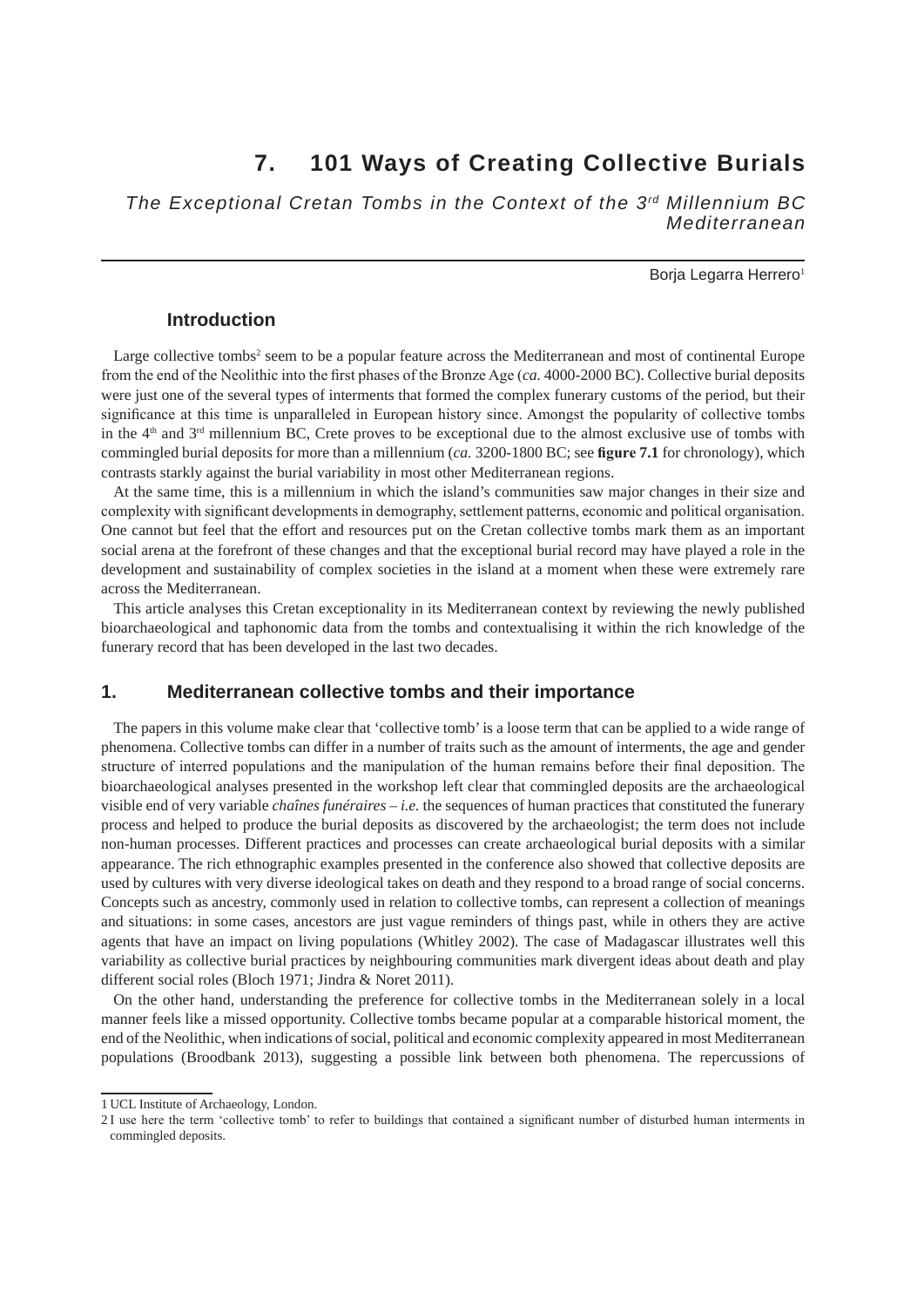## **7. 101 Ways of Creating Collective Burials**

*The Exceptional Cretan Tombs in the Context of the 3rd Millennium BC Mediterranean*

### Borja Legarra Herrero<sup>1</sup>

### **Introduction**

Large collective tombs<sup>2</sup> seem to be a popular feature across the Mediterranean and most of continental Europe from the end of the Neolithic into the first phases of the Bronze Age (*ca.* 4000-2000 BC). Collective burial deposits were just one of the several types of interments that formed the complex funerary customs of the period, but their significance at this time is unparalleled in European history since. Amongst the popularity of collective tombs in the  $4<sup>th</sup>$  and  $3<sup>rd</sup>$  millennium BC, Crete proves to be exceptional due to the almost exclusive use of tombs with commingled burial deposits for more than a millennium (*ca.* 3200-1800 BC; see **figure 7.1** for chronology), which contrasts starkly against the burial variability in most other Mediterranean regions.

At the same time, this is a millennium in which the island's communities saw major changes in their size and complexity with significant developments in demography, settlement patterns, economic and political organisation. One cannot but feel that the effort and resources put on the Cretan collective tombs mark them as an important social arena at the forefront of these changes and that the exceptional burial record may have played a role in the development and sustainability of complex societies in the island at a moment when these were extremely rare across the Mediterranean.

This article analyses this Cretan exceptionality in its Mediterranean context by reviewing the newly published bioarchaeological and taphonomic data from the tombs and contextualising it within the rich knowledge of the funerary record that has been developed in the last two decades.

### **1. Mediterranean collective tombs and their importance**

The papers in this volume make clear that 'collective tomb' is a loose term that can be applied to a wide range of phenomena. Collective tombs can differ in a number of traits such as the amount of interments, the age and gender structure of interred populations and the manipulation of the human remains before their final deposition. The bioarchaeological analyses presented in the workshop left clear that commingled deposits are the archaeological visible end of very variable *chaînes funéraires* – *i.e.* the sequences of human practices that constituted the funerary process and helped to produce the burial deposits as discovered by the archaeologist; the term does not include non-human processes. Different practices and processes can create archaeological burial deposits with a similar appearance. The rich ethnographic examples presented in the conference also showed that collective deposits are used by cultures with very diverse ideological takes on death and they respond to a broad range of social concerns. Concepts such as ancestry, commonly used in relation to collective tombs, can represent a collection of meanings and situations: in some cases, ancestors are just vague reminders of things past, while in others they are active agents that have an impact on living populations (Whitley 2002). The case of Madagascar illustrates well this variability as collective burial practices by neighbouring communities mark divergent ideas about death and play different social roles (Bloch 1971; Jindra & Noret 2011).

On the other hand, understanding the preference for collective tombs in the Mediterranean solely in a local manner feels like a missed opportunity. Collective tombs became popular at a comparable historical moment, the end of the Neolithic, when indications of social, political and economic complexity appeared in most Mediterranean populations (Broodbank 2013), suggesting a possible link between both phenomena. The repercussions of

<sup>1</sup> UCL Institute of Archaeology, London.

<sup>2</sup> I use here the term 'collective tomb' to refer to buildings that contained a significant number of disturbed human interments in commingled deposits.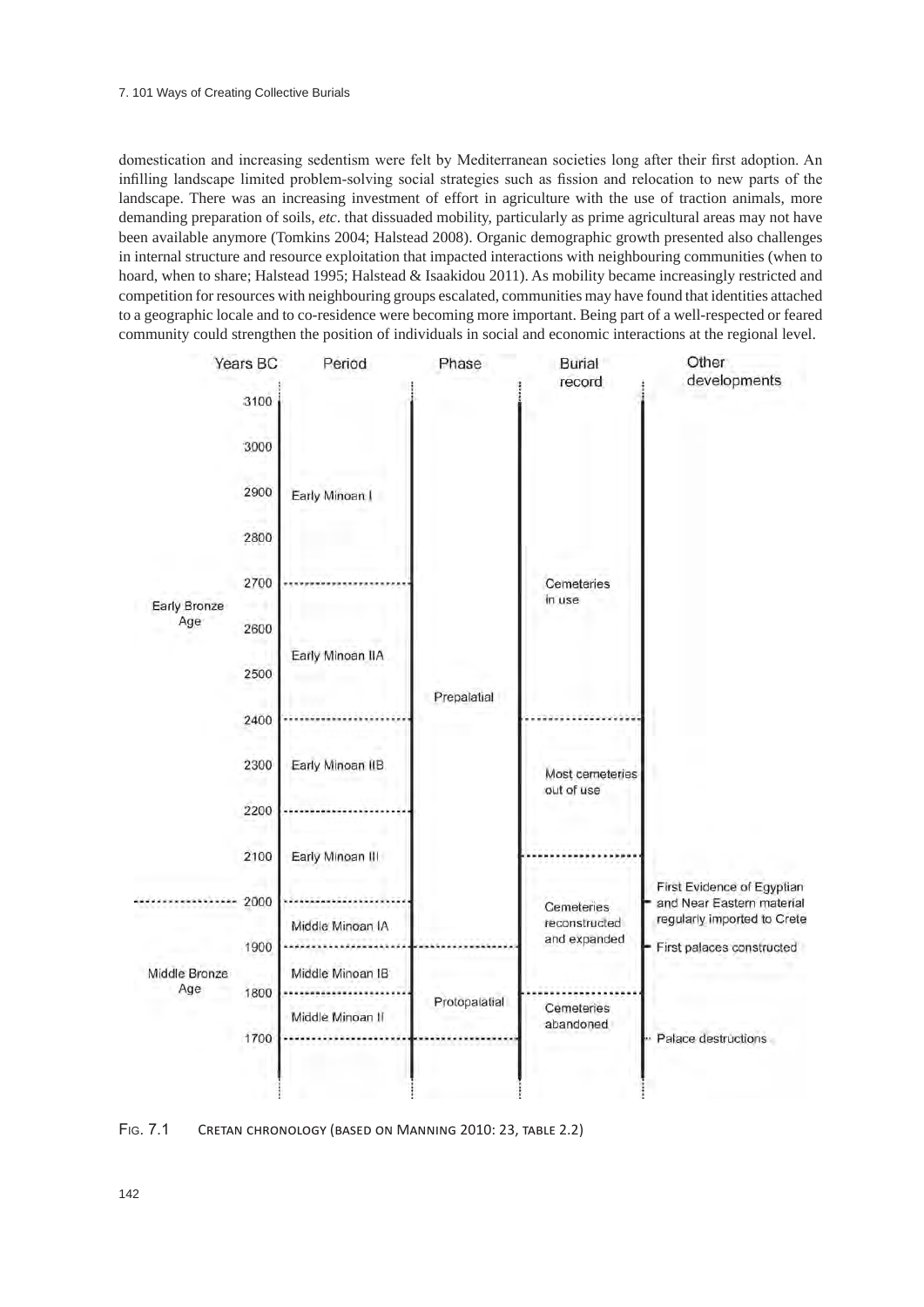domestication and increasing sedentism were felt by Mediterranean societies long after their first adoption. An infilling landscape limited problem-solving social strategies such as fission and relocation to new parts of the landscape. There was an increasing investment of effort in agriculture with the use of traction animals, more demanding preparation of soils, *etc*. that dissuaded mobility, particularly as prime agricultural areas may not have been available anymore (Tomkins 2004; Halstead 2008). Organic demographic growth presented also challenges in internal structure and resource exploitation that impacted interactions with neighbouring communities (when to hoard, when to share; Halstead 1995; Halstead & Isaakidou 2011). As mobility became increasingly restricted and competition for resources with neighbouring groups escalated, communities may have found that identities attached to a geographic locale and to co-residence were becoming more important. Being part of a well-respected or feared community could strengthen the position of individuals in social and economic interactions at the regional level.



Fig. 7.1 Cretan chronology (based on Manning 2010: 23, table 2.2)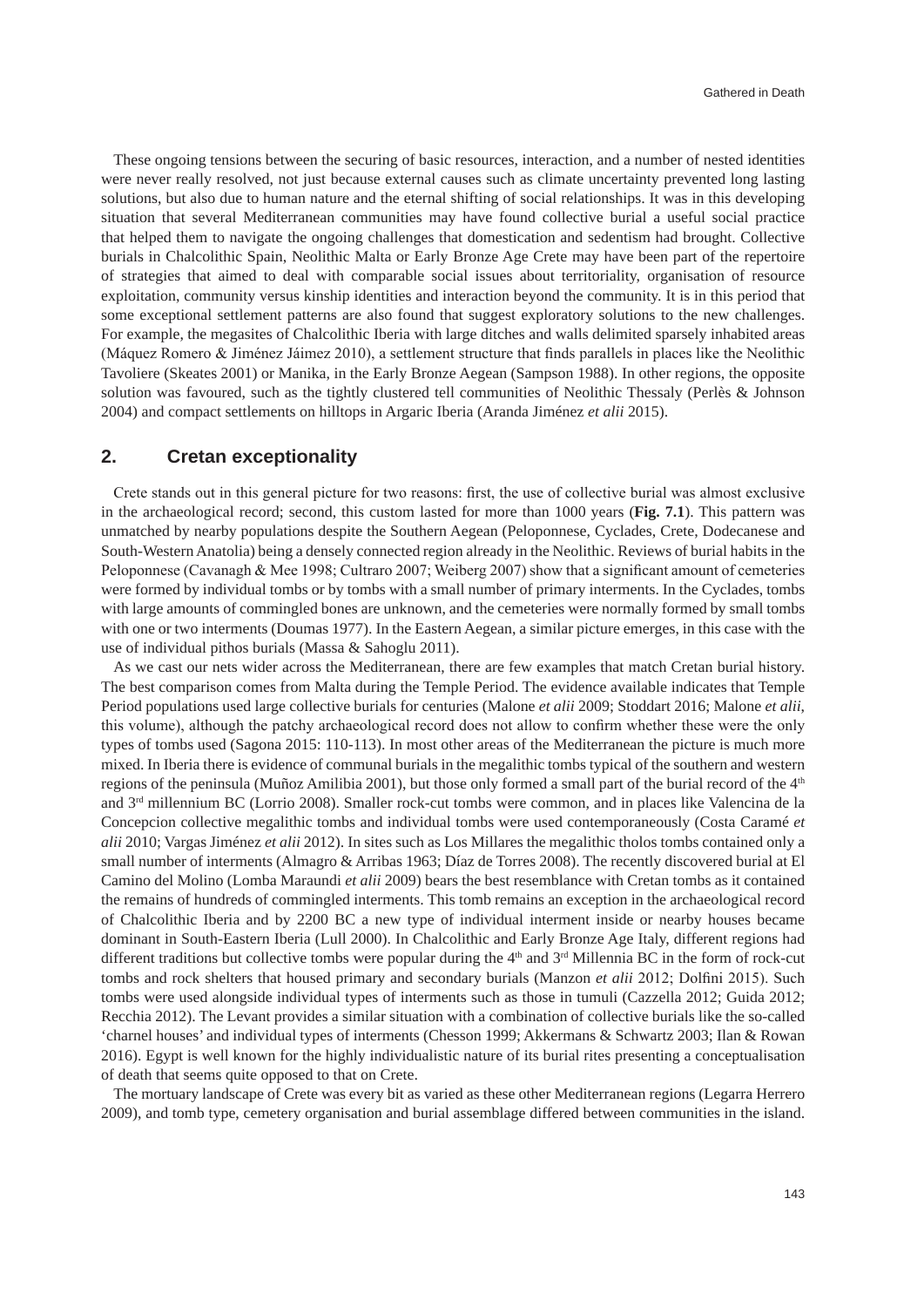These ongoing tensions between the securing of basic resources, interaction, and a number of nested identities were never really resolved, not just because external causes such as climate uncertainty prevented long lasting solutions, but also due to human nature and the eternal shifting of social relationships. It was in this developing situation that several Mediterranean communities may have found collective burial a useful social practice that helped them to navigate the ongoing challenges that domestication and sedentism had brought. Collective burials in Chalcolithic Spain, Neolithic Malta or Early Bronze Age Crete may have been part of the repertoire of strategies that aimed to deal with comparable social issues about territoriality, organisation of resource exploitation, community versus kinship identities and interaction beyond the community. It is in this period that some exceptional settlement patterns are also found that suggest exploratory solutions to the new challenges. For example, the megasites of Chalcolithic Iberia with large ditches and walls delimited sparsely inhabited areas (Máquez Romero & Jiménez Jáimez 2010), a settlement structure that finds parallels in places like the Neolithic Tavoliere (Skeates 2001) or Manika, in the Early Bronze Aegean (Sampson 1988). In other regions, the opposite solution was favoured, such as the tightly clustered tell communities of Neolithic Thessaly (Perlès & Johnson 2004) and compact settlements on hilltops in Argaric Iberia (Aranda Jiménez *et alii* 2015).

### **2. Cretan exceptionality**

Crete stands out in this general picture for two reasons: first, the use of collective burial was almost exclusive in the archaeological record; second, this custom lasted for more than 1000 years (**Fig. 7.1**). This pattern was unmatched by nearby populations despite the Southern Aegean (Peloponnese, Cyclades, Crete, Dodecanese and South-Western Anatolia) being a densely connected region already in the Neolithic. Reviews of burial habits in the Peloponnese (Cavanagh & Mee 1998; Cultraro 2007; Weiberg 2007) show that a significant amount of cemeteries were formed by individual tombs or by tombs with a small number of primary interments. In the Cyclades, tombs with large amounts of commingled bones are unknown, and the cemeteries were normally formed by small tombs with one or two interments (Doumas 1977). In the Eastern Aegean, a similar picture emerges, in this case with the use of individual pithos burials (Massa & Sahoglu 2011).

As we cast our nets wider across the Mediterranean, there are few examples that match Cretan burial history. The best comparison comes from Malta during the Temple Period. The evidence available indicates that Temple Period populations used large collective burials for centuries (Malone *et alii* 2009; Stoddart 2016; Malone *et alii*, this volume), although the patchy archaeological record does not allow to confirm whether these were the only types of tombs used (Sagona 2015: 110-113). In most other areas of the Mediterranean the picture is much more mixed. In Iberia there is evidence of communal burials in the megalithic tombs typical of the southern and western regions of the peninsula (Muñoz Amilibia 2001), but those only formed a small part of the burial record of the  $4<sup>th</sup>$ and 3rd millennium BC (Lorrio 2008). Smaller rock-cut tombs were common, and in places like Valencina de la Concepcion collective megalithic tombs and individual tombs were used contemporaneously (Costa Caramé *et alii* 2010; Vargas Jiménez *et alii* 2012). In sites such as Los Millares the megalithic tholos tombs contained only a small number of interments (Almagro & Arribas 1963; Díaz de Torres 2008). The recently discovered burial at El Camino del Molino (Lomba Maraundi *et alii* 2009) bears the best resemblance with Cretan tombs as it contained the remains of hundreds of commingled interments. This tomb remains an exception in the archaeological record of Chalcolithic Iberia and by 2200 BC a new type of individual interment inside or nearby houses became dominant in South-Eastern Iberia (Lull 2000). In Chalcolithic and Early Bronze Age Italy, different regions had different traditions but collective tombs were popular during the 4<sup>th</sup> and 3<sup>rd</sup> Millennia BC in the form of rock-cut tombs and rock shelters that housed primary and secondary burials (Manzon *et alii* 2012; Dolfini 2015). Such tombs were used alongside individual types of interments such as those in tumuli (Cazzella 2012; Guida 2012; Recchia 2012). The Levant provides a similar situation with a combination of collective burials like the so-called 'charnel houses' and individual types of interments (Chesson 1999; Akkermans & Schwartz 2003; Ilan & Rowan 2016). Egypt is well known for the highly individualistic nature of its burial rites presenting a conceptualisation of death that seems quite opposed to that on Crete.

The mortuary landscape of Crete was every bit as varied as these other Mediterranean regions (Legarra Herrero 2009), and tomb type, cemetery organisation and burial assemblage differed between communities in the island.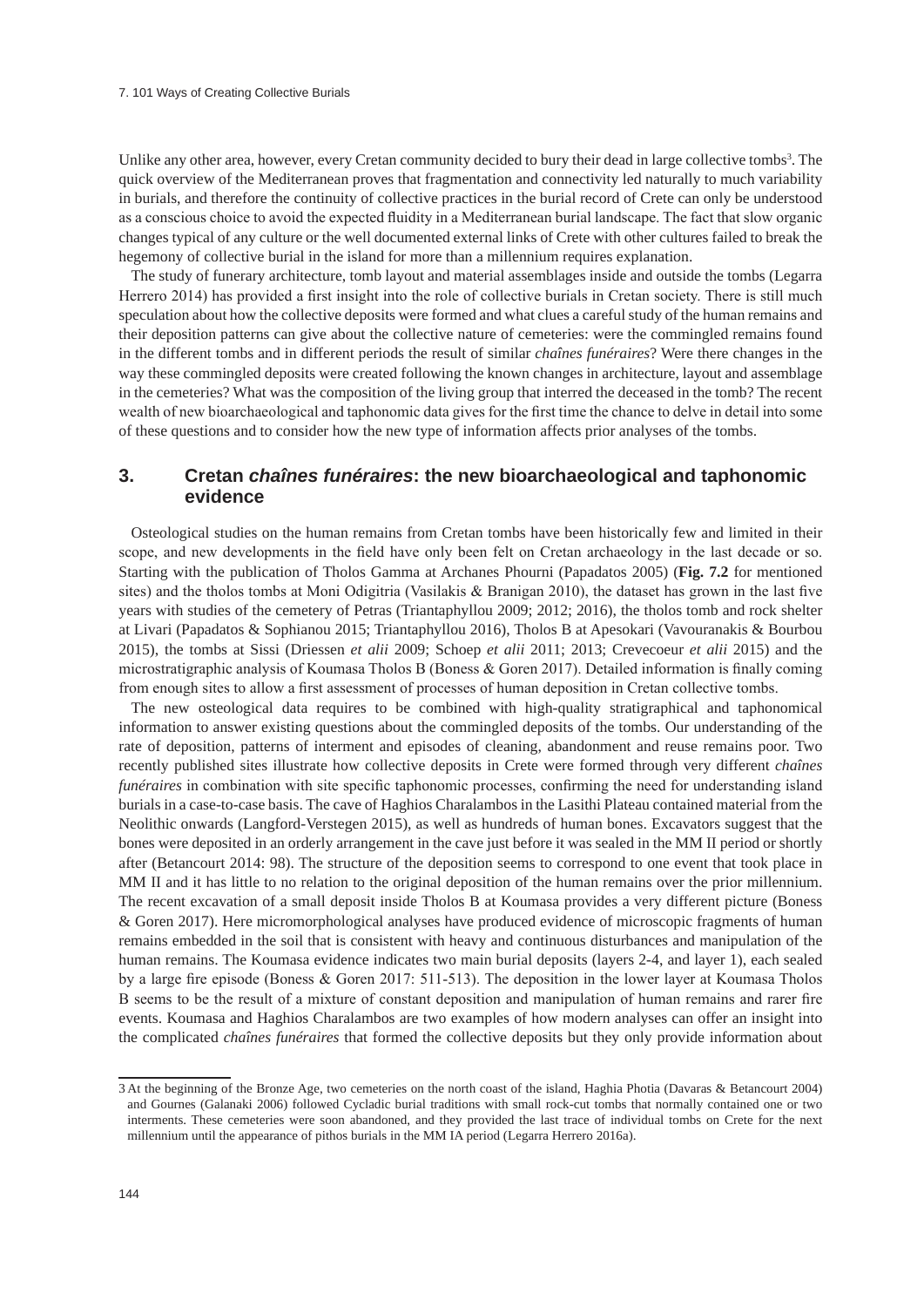Unlike any other area, however, every Cretan community decided to bury their dead in large collective tombs<sup>3</sup>. The quick overview of the Mediterranean proves that fragmentation and connectivity led naturally to much variability in burials, and therefore the continuity of collective practices in the burial record of Crete can only be understood as a conscious choice to avoid the expected fluidity in a Mediterranean burial landscape. The fact that slow organic changes typical of any culture or the well documented external links of Crete with other cultures failed to break the hegemony of collective burial in the island for more than a millennium requires explanation.

The study of funerary architecture, tomb layout and material assemblages inside and outside the tombs (Legarra Herrero 2014) has provided a first insight into the role of collective burials in Cretan society. There is still much speculation about how the collective deposits were formed and what clues a careful study of the human remains and their deposition patterns can give about the collective nature of cemeteries: were the commingled remains found in the different tombs and in different periods the result of similar *chaînes funéraires*? Were there changes in the way these commingled deposits were created following the known changes in architecture, layout and assemblage in the cemeteries? What was the composition of the living group that interred the deceased in the tomb? The recent wealth of new bioarchaeological and taphonomic data gives for the first time the chance to delve in detail into some of these questions and to consider how the new type of information affects prior analyses of the tombs.

### **3. Cretan** *chaînes funéraires***: the new bioarchaeological and taphonomic evidence**

Osteological studies on the human remains from Cretan tombs have been historically few and limited in their scope, and new developments in the field have only been felt on Cretan archaeology in the last decade or so. Starting with the publication of Tholos Gamma at Archanes Phourni (Papadatos 2005) (**Fig. 7.2** for mentioned sites) and the tholos tombs at Moni Odigitria (Vasilakis & Branigan 2010), the dataset has grown in the last five years with studies of the cemetery of Petras (Triantaphyllou 2009; 2012; 2016), the tholos tomb and rock shelter at Livari (Papadatos & Sophianou 2015; Triantaphyllou 2016), Tholos B at Apesokari (Vavouranakis & Bourbou 2015), the tombs at Sissi (Driessen *et alii* 2009; Schoep *et alii* 2011; 2013; Crevecoeur *et alii* 2015) and the microstratigraphic analysis of Koumasa Tholos B (Boness & Goren 2017). Detailed information is finally coming from enough sites to allow a first assessment of processes of human deposition in Cretan collective tombs.

The new osteological data requires to be combined with high-quality stratigraphical and taphonomical information to answer existing questions about the commingled deposits of the tombs. Our understanding of the rate of deposition, patterns of interment and episodes of cleaning, abandonment and reuse remains poor. Two recently published sites illustrate how collective deposits in Crete were formed through very different *chaînes funéraires* in combination with site specific taphonomic processes, confirming the need for understanding island burials in a case-to-case basis. The cave of Haghios Charalambos in the Lasithi Plateau contained material from the Neolithic onwards (Langford-Verstegen 2015), as well as hundreds of human bones. Excavators suggest that the bones were deposited in an orderly arrangement in the cave just before it was sealed in the MM II period or shortly after (Betancourt 2014: 98). The structure of the deposition seems to correspond to one event that took place in MM II and it has little to no relation to the original deposition of the human remains over the prior millennium. The recent excavation of a small deposit inside Tholos B at Koumasa provides a very different picture (Boness & Goren 2017). Here micromorphological analyses have produced evidence of microscopic fragments of human remains embedded in the soil that is consistent with heavy and continuous disturbances and manipulation of the human remains. The Koumasa evidence indicates two main burial deposits (layers 2-4, and layer 1), each sealed by a large fire episode (Boness & Goren 2017: 511-513). The deposition in the lower layer at Koumasa Tholos B seems to be the result of a mixture of constant deposition and manipulation of human remains and rarer fire events. Koumasa and Haghios Charalambos are two examples of how modern analyses can offer an insight into the complicated *chaînes funéraires* that formed the collective deposits but they only provide information about

<sup>3</sup> At the beginning of the Bronze Age, two cemeteries on the north coast of the island, Haghia Photia (Davaras & Betancourt 2004) and Gournes (Galanaki 2006) followed Cycladic burial traditions with small rock-cut tombs that normally contained one or two interments. These cemeteries were soon abandoned, and they provided the last trace of individual tombs on Crete for the next millennium until the appearance of pithos burials in the MM IA period (Legarra Herrero 2016a).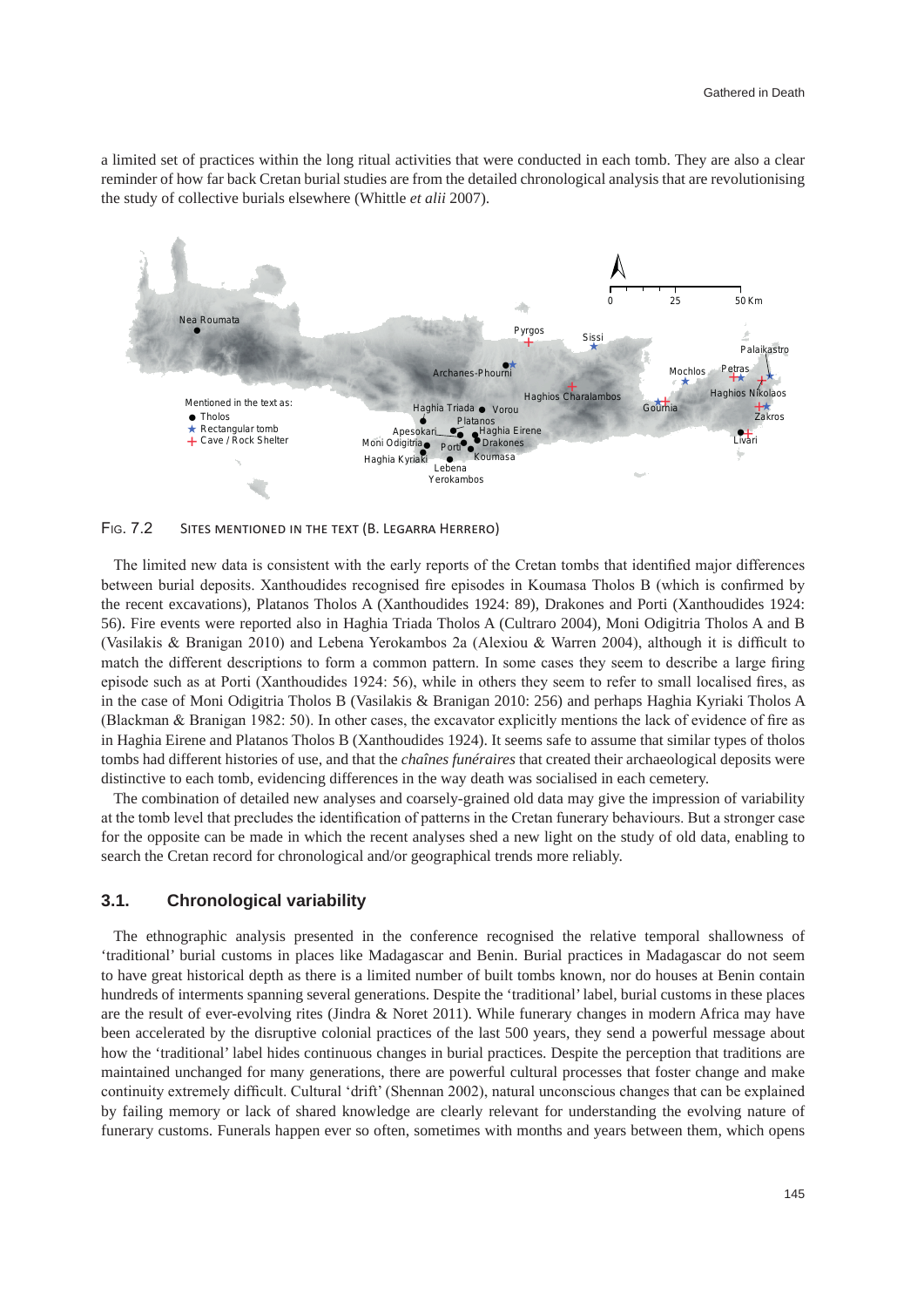a limited set of practices within the long ritual activities that were conducted in each tomb. They are also a clear reminder of how far back Cretan burial studies are from the detailed chronological analysis that are revolutionising the study of collective burials elsewhere (Whittle *et alii* 2007).



FIG. 7.2 SITES MENTIONED IN THE TEXT (B. LEGARRA HERRERO)

The limited new data is consistent with the early reports of the Cretan tombs that identified major differences between burial deposits. Xanthoudides recognised fire episodes in Koumasa Tholos B (which is confirmed by the recent excavations), Platanos Tholos A (Xanthoudides 1924: 89), Drakones and Porti (Xanthoudides 1924: 56). Fire events were reported also in Haghia Triada Tholos A (Cultraro 2004), Moni Odigitria Tholos A and B (Vasilakis & Branigan 2010) and Lebena Yerokambos 2a (Alexiou & Warren 2004), although it is difficult to match the different descriptions to form a common pattern. In some cases they seem to describe a large firing episode such as at Porti (Xanthoudides 1924: 56), while in others they seem to refer to small localised fires, as in the case of Moni Odigitria Tholos B (Vasilakis & Branigan 2010: 256) and perhaps Haghia Kyriaki Tholos A (Blackman & Branigan 1982: 50). In other cases, the excavator explicitly mentions the lack of evidence of fire as in Haghia Eirene and Platanos Tholos B (Xanthoudides 1924). It seems safe to assume that similar types of tholos tombs had different histories of use, and that the *chaînes funéraires* that created their archaeological deposits were distinctive to each tomb, evidencing differences in the way death was socialised in each cemetery.

The combination of detailed new analyses and coarsely-grained old data may give the impression of variability at the tomb level that precludes the identification of patterns in the Cretan funerary behaviours. But a stronger case for the opposite can be made in which the recent analyses shed a new light on the study of old data, enabling to search the Cretan record for chronological and/or geographical trends more reliably.

### **3.1. Chronological variability**

The ethnographic analysis presented in the conference recognised the relative temporal shallowness of 'traditional' burial customs in places like Madagascar and Benin. Burial practices in Madagascar do not seem to have great historical depth as there is a limited number of built tombs known, nor do houses at Benin contain hundreds of interments spanning several generations. Despite the 'traditional' label, burial customs in these places are the result of ever-evolving rites (Jindra & Noret 2011). While funerary changes in modern Africa may have been accelerated by the disruptive colonial practices of the last 500 years, they send a powerful message about how the 'traditional' label hides continuous changes in burial practices. Despite the perception that traditions are maintained unchanged for many generations, there are powerful cultural processes that foster change and make continuity extremely difficult. Cultural 'drift' (Shennan 2002), natural unconscious changes that can be explained by failing memory or lack of shared knowledge are clearly relevant for understanding the evolving nature of funerary customs. Funerals happen ever so often, sometimes with months and years between them, which opens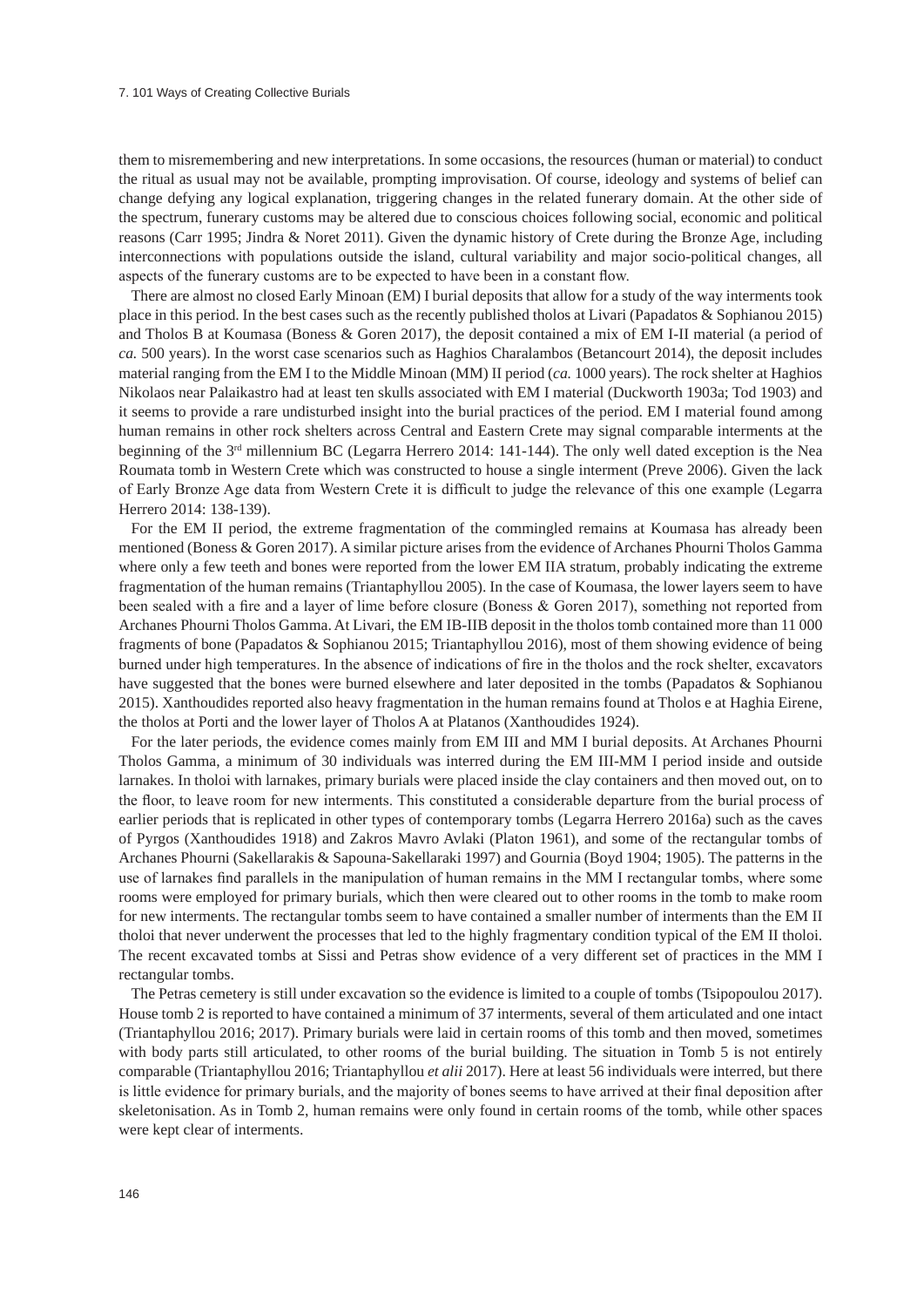### 7. 101 Ways of Creating Collective Burials

them to misremembering and new interpretations. In some occasions, the resources (human or material) to conduct the ritual as usual may not be available, prompting improvisation. Of course, ideology and systems of belief can change defying any logical explanation, triggering changes in the related funerary domain. At the other side of the spectrum, funerary customs may be altered due to conscious choices following social, economic and political reasons (Carr 1995; Jindra & Noret 2011). Given the dynamic history of Crete during the Bronze Age, including interconnections with populations outside the island, cultural variability and major socio-political changes, all aspects of the funerary customs are to be expected to have been in a constant flow.

There are almost no closed Early Minoan (EM) I burial deposits that allow for a study of the way interments took place in this period. In the best cases such as the recently published tholos at Livari (Papadatos & Sophianou 2015) and Tholos B at Koumasa (Boness & Goren 2017), the deposit contained a mix of EM I-II material (a period of *ca.* 500 years). In the worst case scenarios such as Haghios Charalambos (Betancourt 2014), the deposit includes material ranging from the EM I to the Middle Minoan (MM) II period (*ca.* 1000 years). The rock shelter at Haghios Nikolaos near Palaikastro had at least ten skulls associated with EM I material (Duckworth 1903a; Tod 1903) and it seems to provide a rare undisturbed insight into the burial practices of the period. EM I material found among human remains in other rock shelters across Central and Eastern Crete may signal comparable interments at the beginning of the 3rd millennium BC (Legarra Herrero 2014: 141-144). The only well dated exception is the Nea Roumata tomb in Western Crete which was constructed to house a single interment (Preve 2006). Given the lack of Early Bronze Age data from Western Crete it is difficult to judge the relevance of this one example (Legarra Herrero 2014: 138-139).

For the EM II period, the extreme fragmentation of the commingled remains at Koumasa has already been mentioned (Boness & Goren 2017). A similar picture arises from the evidence of Archanes Phourni Tholos Gamma where only a few teeth and bones were reported from the lower EM IIA stratum, probably indicating the extreme fragmentation of the human remains (Triantaphyllou 2005). In the case of Koumasa, the lower layers seem to have been sealed with a fire and a layer of lime before closure (Boness & Goren 2017), something not reported from Archanes Phourni Tholos Gamma. At Livari, the EM IB-IIB deposit in the tholos tomb contained more than 11 000 fragments of bone (Papadatos & Sophianou 2015; Triantaphyllou 2016), most of them showing evidence of being burned under high temperatures. In the absence of indications of fire in the tholos and the rock shelter, excavators have suggested that the bones were burned elsewhere and later deposited in the tombs (Papadatos & Sophianou 2015). Xanthoudides reported also heavy fragmentation in the human remains found at Tholos e at Haghia Eirene, the tholos at Porti and the lower layer of Tholos A at Platanos (Xanthoudides 1924).

For the later periods, the evidence comes mainly from EM III and MM I burial deposits. At Archanes Phourni Tholos Gamma, a minimum of 30 individuals was interred during the EM III-MM I period inside and outside larnakes. In tholoi with larnakes, primary burials were placed inside the clay containers and then moved out, on to the floor, to leave room for new interments. This constituted a considerable departure from the burial process of earlier periods that is replicated in other types of contemporary tombs (Legarra Herrero 2016a) such as the caves of Pyrgos (Xanthoudides 1918) and Zakros Mavro Avlaki (Platon 1961), and some of the rectangular tombs of Archanes Phourni (Sakellarakis & Sapouna-Sakellaraki 1997) and Gournia (Boyd 1904; 1905). The patterns in the use of larnakes find parallels in the manipulation of human remains in the MM I rectangular tombs, where some rooms were employed for primary burials, which then were cleared out to other rooms in the tomb to make room for new interments. The rectangular tombs seem to have contained a smaller number of interments than the EM II tholoi that never underwent the processes that led to the highly fragmentary condition typical of the EM II tholoi. The recent excavated tombs at Sissi and Petras show evidence of a very different set of practices in the MM I rectangular tombs.

The Petras cemetery is still under excavation so the evidence is limited to a couple of tombs (Tsipopoulou 2017). House tomb 2 is reported to have contained a minimum of 37 interments, several of them articulated and one intact (Triantaphyllou 2016; 2017). Primary burials were laid in certain rooms of this tomb and then moved, sometimes with body parts still articulated, to other rooms of the burial building. The situation in Tomb 5 is not entirely comparable (Triantaphyllou 2016; Triantaphyllou *et alii* 2017). Here at least 56 individuals were interred, but there is little evidence for primary burials, and the majority of bones seems to have arrived at their final deposition after skeletonisation. As in Tomb 2, human remains were only found in certain rooms of the tomb, while other spaces were kept clear of interments.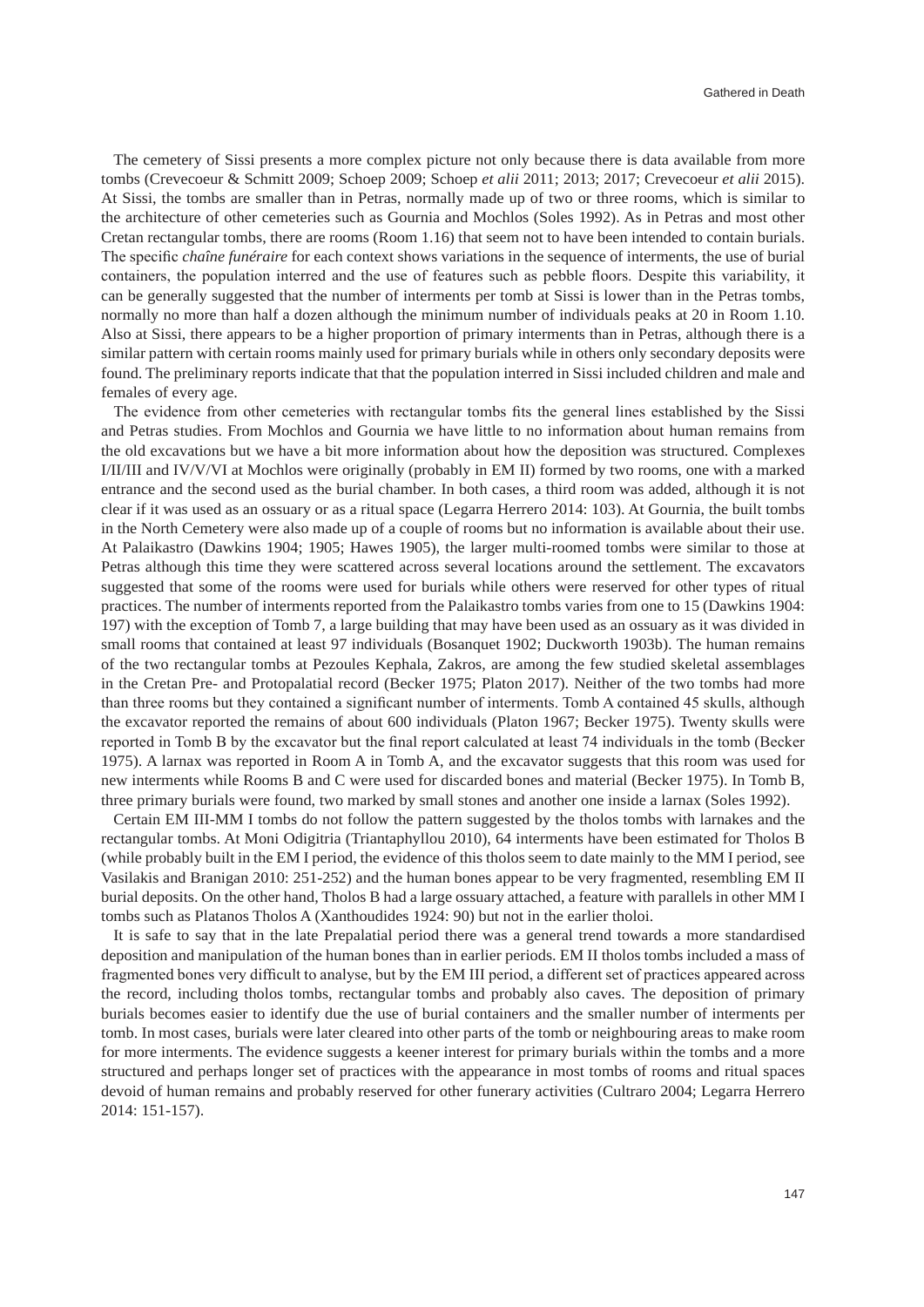The cemetery of Sissi presents a more complex picture not only because there is data available from more tombs (Crevecoeur & Schmitt 2009; Schoep 2009; Schoep *et alii* 2011; 2013; 2017; Crevecoeur *et alii* 2015). At Sissi, the tombs are smaller than in Petras, normally made up of two or three rooms, which is similar to the architecture of other cemeteries such as Gournia and Mochlos (Soles 1992). As in Petras and most other Cretan rectangular tombs, there are rooms (Room 1.16) that seem not to have been intended to contain burials. The specific *chaîne funéraire* for each context shows variations in the sequence of interments, the use of burial containers, the population interred and the use of features such as pebble floors. Despite this variability, it can be generally suggested that the number of interments per tomb at Sissi is lower than in the Petras tombs, normally no more than half a dozen although the minimum number of individuals peaks at 20 in Room 1.10. Also at Sissi, there appears to be a higher proportion of primary interments than in Petras, although there is a similar pattern with certain rooms mainly used for primary burials while in others only secondary deposits were found. The preliminary reports indicate that that the population interred in Sissi included children and male and females of every age.

The evidence from other cemeteries with rectangular tombs fits the general lines established by the Sissi and Petras studies. From Mochlos and Gournia we have little to no information about human remains from the old excavations but we have a bit more information about how the deposition was structured. Complexes I/II/III and IV/V/VI at Mochlos were originally (probably in EM II) formed by two rooms, one with a marked entrance and the second used as the burial chamber. In both cases, a third room was added, although it is not clear if it was used as an ossuary or as a ritual space (Legarra Herrero 2014: 103). At Gournia, the built tombs in the North Cemetery were also made up of a couple of rooms but no information is available about their use. At Palaikastro (Dawkins 1904; 1905; Hawes 1905), the larger multi-roomed tombs were similar to those at Petras although this time they were scattered across several locations around the settlement. The excavators suggested that some of the rooms were used for burials while others were reserved for other types of ritual practices. The number of interments reported from the Palaikastro tombs varies from one to 15 (Dawkins 1904: 197) with the exception of Tomb 7, a large building that may have been used as an ossuary as it was divided in small rooms that contained at least 97 individuals (Bosanquet 1902; Duckworth 1903b). The human remains of the two rectangular tombs at Pezoules Kephala, Zakros, are among the few studied skeletal assemblages in the Cretan Pre- and Protopalatial record (Becker 1975; Platon 2017). Neither of the two tombs had more than three rooms but they contained a significant number of interments. Tomb A contained 45 skulls, although the excavator reported the remains of about 600 individuals (Platon 1967; Becker 1975). Twenty skulls were reported in Tomb B by the excavator but the final report calculated at least 74 individuals in the tomb (Becker 1975). A larnax was reported in Room A in Tomb A, and the excavator suggests that this room was used for new interments while Rooms B and C were used for discarded bones and material (Becker 1975). In Tomb B, three primary burials were found, two marked by small stones and another one inside a larnax (Soles 1992).

Certain EM III-MM I tombs do not follow the pattern suggested by the tholos tombs with larnakes and the rectangular tombs. At Moni Odigitria (Triantaphyllou 2010), 64 interments have been estimated for Tholos B (while probably built in the EM I period, the evidence of this tholos seem to date mainly to the MM I period, see Vasilakis and Branigan 2010: 251-252) and the human bones appear to be very fragmented, resembling EM II burial deposits. On the other hand, Tholos B had a large ossuary attached, a feature with parallels in other MM I tombs such as Platanos Tholos A (Xanthoudides 1924: 90) but not in the earlier tholoi.

It is safe to say that in the late Prepalatial period there was a general trend towards a more standardised deposition and manipulation of the human bones than in earlier periods. EM II tholos tombs included a mass of fragmented bones very difficult to analyse, but by the EM III period, a different set of practices appeared across the record, including tholos tombs, rectangular tombs and probably also caves. The deposition of primary burials becomes easier to identify due the use of burial containers and the smaller number of interments per tomb. In most cases, burials were later cleared into other parts of the tomb or neighbouring areas to make room for more interments. The evidence suggests a keener interest for primary burials within the tombs and a more structured and perhaps longer set of practices with the appearance in most tombs of rooms and ritual spaces devoid of human remains and probably reserved for other funerary activities (Cultraro 2004; Legarra Herrero 2014: 151-157).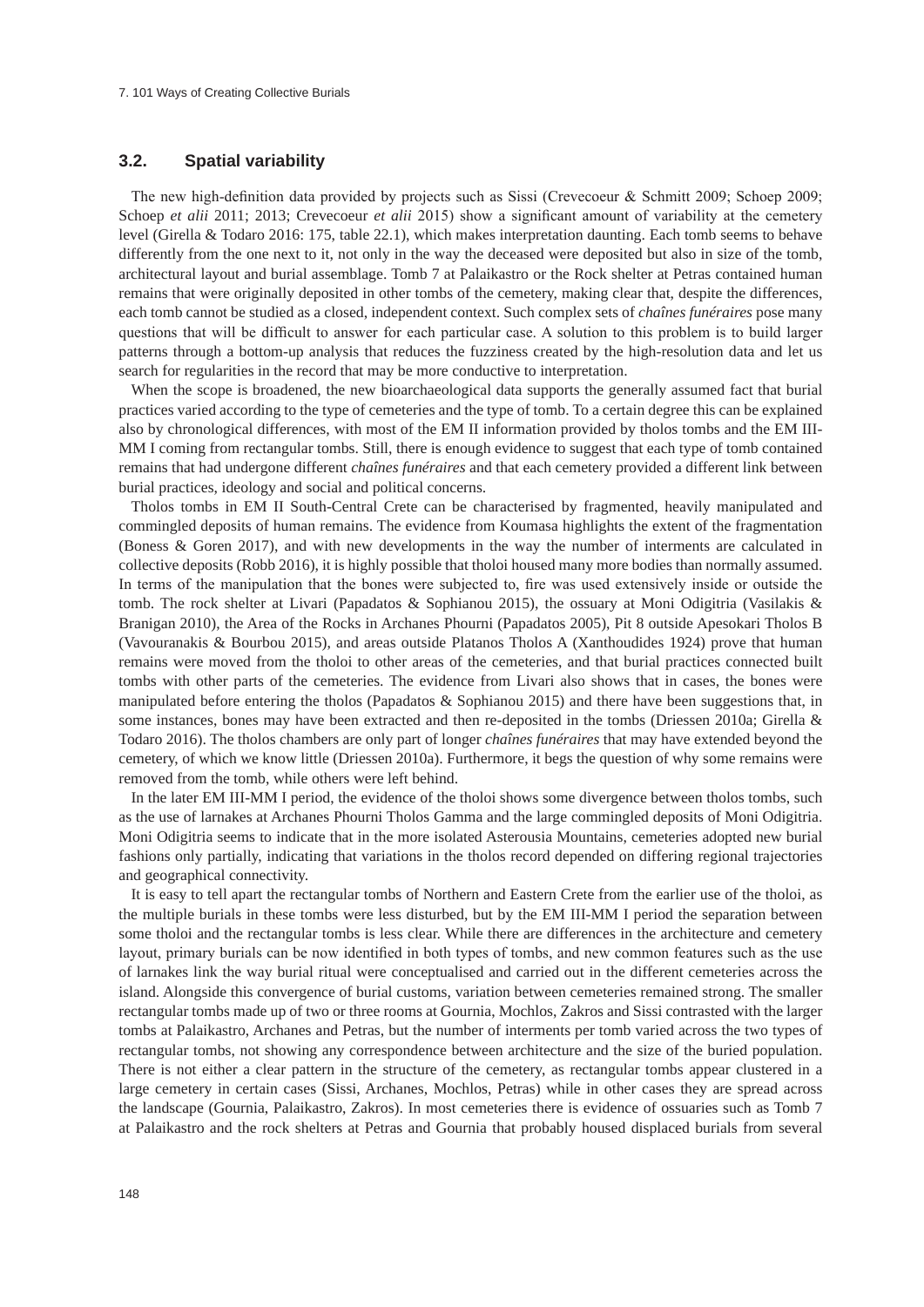### **3.2. Spatial variability**

The new high-definition data provided by projects such as Sissi (Crevecoeur & Schmitt 2009; Schoep 2009; Schoep *et alii* 2011; 2013; Crevecoeur *et alii* 2015) show a significant amount of variability at the cemetery level (Girella & Todaro 2016: 175, table 22.1), which makes interpretation daunting. Each tomb seems to behave differently from the one next to it, not only in the way the deceased were deposited but also in size of the tomb, architectural layout and burial assemblage. Tomb 7 at Palaikastro or the Rock shelter at Petras contained human remains that were originally deposited in other tombs of the cemetery, making clear that, despite the differences, each tomb cannot be studied as a closed, independent context. Such complex sets of *chaînes funéraires* pose many questions that will be difficult to answer for each particular case. A solution to this problem is to build larger patterns through a bottom-up analysis that reduces the fuzziness created by the high-resolution data and let us search for regularities in the record that may be more conductive to interpretation.

When the scope is broadened, the new bioarchaeological data supports the generally assumed fact that burial practices varied according to the type of cemeteries and the type of tomb. To a certain degree this can be explained also by chronological differences, with most of the EM II information provided by tholos tombs and the EM III-MM I coming from rectangular tombs. Still, there is enough evidence to suggest that each type of tomb contained remains that had undergone different *chaînes funéraires* and that each cemetery provided a different link between burial practices, ideology and social and political concerns.

Tholos tombs in EM II South-Central Crete can be characterised by fragmented, heavily manipulated and commingled deposits of human remains. The evidence from Koumasa highlights the extent of the fragmentation (Boness & Goren 2017), and with new developments in the way the number of interments are calculated in collective deposits (Robb 2016), it is highly possible that tholoi housed many more bodies than normally assumed. In terms of the manipulation that the bones were subjected to, fire was used extensively inside or outside the tomb. The rock shelter at Livari (Papadatos & Sophianou 2015), the ossuary at Moni Odigitria (Vasilakis & Branigan 2010), the Area of the Rocks in Archanes Phourni (Papadatos 2005), Pit 8 outside Apesokari Tholos B (Vavouranakis & Bourbou 2015), and areas outside Platanos Tholos A (Xanthoudides 1924) prove that human remains were moved from the tholoi to other areas of the cemeteries, and that burial practices connected built tombs with other parts of the cemeteries. The evidence from Livari also shows that in cases, the bones were manipulated before entering the tholos (Papadatos & Sophianou 2015) and there have been suggestions that, in some instances, bones may have been extracted and then re-deposited in the tombs (Driessen 2010a; Girella & Todaro 2016). The tholos chambers are only part of longer *chaînes funéraires* that may have extended beyond the cemetery, of which we know little (Driessen 2010a). Furthermore, it begs the question of why some remains were removed from the tomb, while others were left behind.

In the later EM III-MM I period, the evidence of the tholoi shows some divergence between tholos tombs, such as the use of larnakes at Archanes Phourni Tholos Gamma and the large commingled deposits of Moni Odigitria. Moni Odigitria seems to indicate that in the more isolated Asterousia Mountains, cemeteries adopted new burial fashions only partially, indicating that variations in the tholos record depended on differing regional trajectories and geographical connectivity.

It is easy to tell apart the rectangular tombs of Northern and Eastern Crete from the earlier use of the tholoi, as the multiple burials in these tombs were less disturbed, but by the EM III-MM I period the separation between some tholoi and the rectangular tombs is less clear. While there are differences in the architecture and cemetery layout, primary burials can be now identified in both types of tombs, and new common features such as the use of larnakes link the way burial ritual were conceptualised and carried out in the different cemeteries across the island. Alongside this convergence of burial customs, variation between cemeteries remained strong. The smaller rectangular tombs made up of two or three rooms at Gournia, Mochlos, Zakros and Sissi contrasted with the larger tombs at Palaikastro, Archanes and Petras, but the number of interments per tomb varied across the two types of rectangular tombs, not showing any correspondence between architecture and the size of the buried population. There is not either a clear pattern in the structure of the cemetery, as rectangular tombs appear clustered in a large cemetery in certain cases (Sissi, Archanes, Mochlos, Petras) while in other cases they are spread across the landscape (Gournia, Palaikastro, Zakros). In most cemeteries there is evidence of ossuaries such as Tomb 7 at Palaikastro and the rock shelters at Petras and Gournia that probably housed displaced burials from several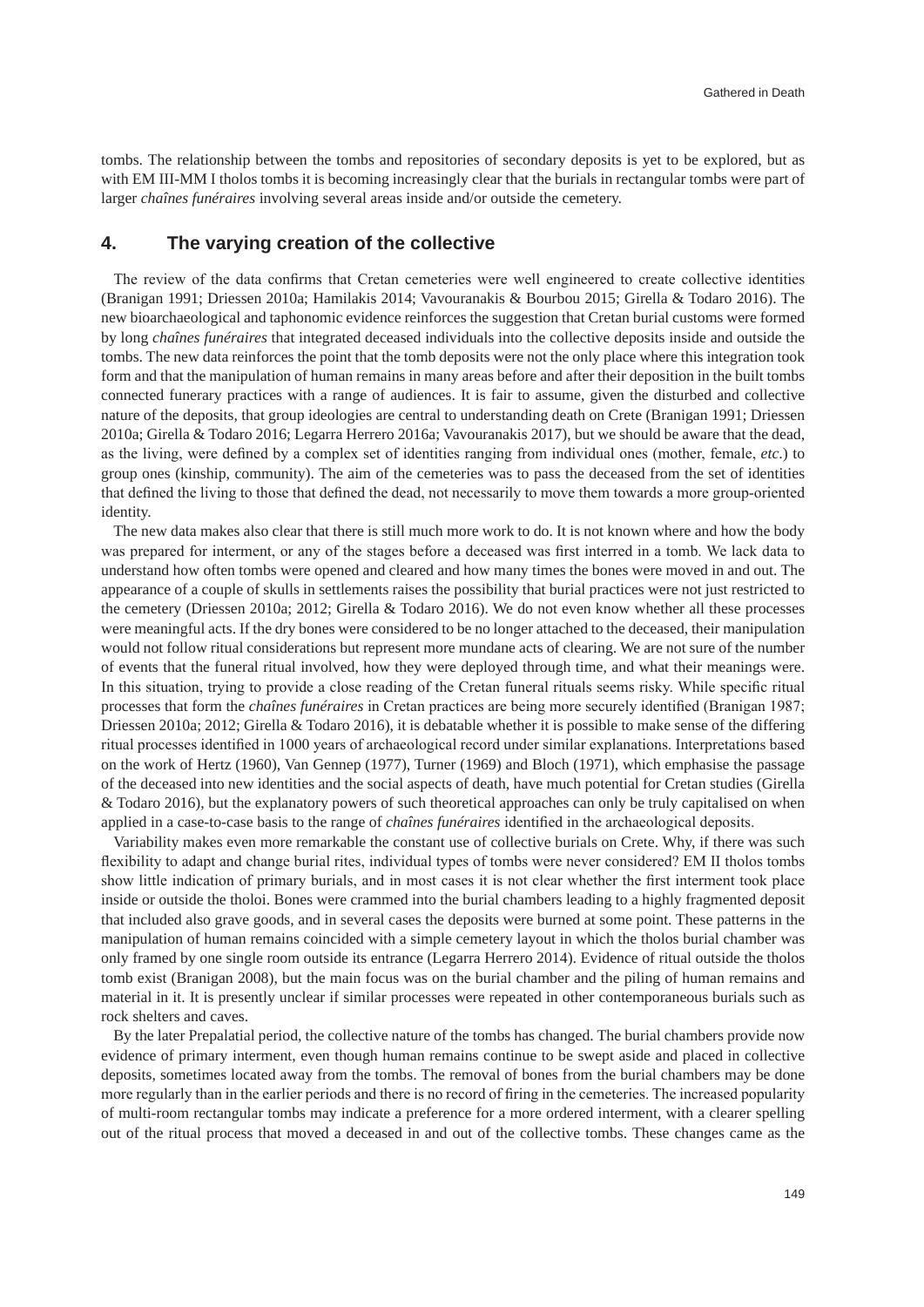tombs. The relationship between the tombs and repositories of secondary deposits is yet to be explored, but as with EM III-MM I tholos tombs it is becoming increasingly clear that the burials in rectangular tombs were part of larger *chaînes funéraires* involving several areas inside and/or outside the cemetery.

### **4. The varying creation of the collective**

The review of the data confirms that Cretan cemeteries were well engineered to create collective identities (Branigan 1991; Driessen 2010a; Hamilakis 2014; Vavouranakis & Bourbou 2015; Girella & Todaro 2016). The new bioarchaeological and taphonomic evidence reinforces the suggestion that Cretan burial customs were formed by long *chaînes funéraires* that integrated deceased individuals into the collective deposits inside and outside the tombs. The new data reinforces the point that the tomb deposits were not the only place where this integration took form and that the manipulation of human remains in many areas before and after their deposition in the built tombs connected funerary practices with a range of audiences. It is fair to assume, given the disturbed and collective nature of the deposits, that group ideologies are central to understanding death on Crete (Branigan 1991; Driessen 2010a; Girella & Todaro 2016; Legarra Herrero 2016a; Vavouranakis 2017), but we should be aware that the dead, as the living, were defined by a complex set of identities ranging from individual ones (mother, female, *etc*.) to group ones (kinship, community). The aim of the cemeteries was to pass the deceased from the set of identities that defined the living to those that defined the dead, not necessarily to move them towards a more group-oriented identity.

The new data makes also clear that there is still much more work to do. It is not known where and how the body was prepared for interment, or any of the stages before a deceased was first interred in a tomb. We lack data to understand how often tombs were opened and cleared and how many times the bones were moved in and out. The appearance of a couple of skulls in settlements raises the possibility that burial practices were not just restricted to the cemetery (Driessen 2010a; 2012; Girella & Todaro 2016). We do not even know whether all these processes were meaningful acts. If the dry bones were considered to be no longer attached to the deceased, their manipulation would not follow ritual considerations but represent more mundane acts of clearing. We are not sure of the number of events that the funeral ritual involved, how they were deployed through time, and what their meanings were. In this situation, trying to provide a close reading of the Cretan funeral rituals seems risky. While specific ritual processes that form the *chaînes funéraires* in Cretan practices are being more securely identified (Branigan 1987; Driessen 2010a; 2012; Girella & Todaro 2016), it is debatable whether it is possible to make sense of the differing ritual processes identified in 1000 years of archaeological record under similar explanations. Interpretations based on the work of Hertz (1960), Van Gennep (1977), Turner (1969) and Bloch (1971), which emphasise the passage of the deceased into new identities and the social aspects of death, have much potential for Cretan studies (Girella & Todaro 2016), but the explanatory powers of such theoretical approaches can only be truly capitalised on when applied in a case-to-case basis to the range of *chaînes funéraires* identified in the archaeological deposits.

Variability makes even more remarkable the constant use of collective burials on Crete. Why, if there was such flexibility to adapt and change burial rites, individual types of tombs were never considered? EM II tholos tombs show little indication of primary burials, and in most cases it is not clear whether the first interment took place inside or outside the tholoi. Bones were crammed into the burial chambers leading to a highly fragmented deposit that included also grave goods, and in several cases the deposits were burned at some point. These patterns in the manipulation of human remains coincided with a simple cemetery layout in which the tholos burial chamber was only framed by one single room outside its entrance (Legarra Herrero 2014). Evidence of ritual outside the tholos tomb exist (Branigan 2008), but the main focus was on the burial chamber and the piling of human remains and material in it. It is presently unclear if similar processes were repeated in other contemporaneous burials such as rock shelters and caves.

By the later Prepalatial period, the collective nature of the tombs has changed. The burial chambers provide now evidence of primary interment, even though human remains continue to be swept aside and placed in collective deposits, sometimes located away from the tombs. The removal of bones from the burial chambers may be done more regularly than in the earlier periods and there is no record of firing in the cemeteries. The increased popularity of multi-room rectangular tombs may indicate a preference for a more ordered interment, with a clearer spelling out of the ritual process that moved a deceased in and out of the collective tombs. These changes came as the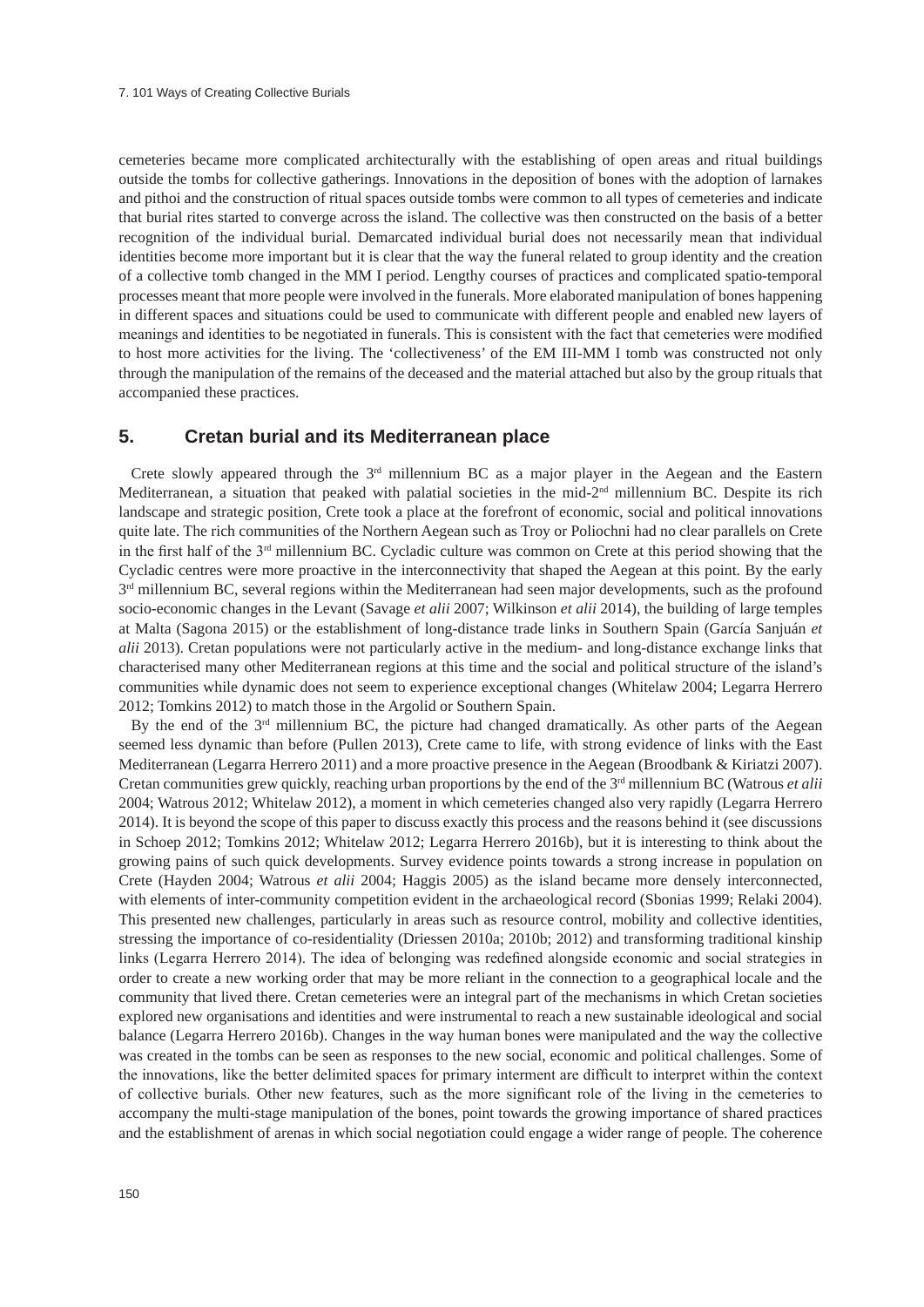cemeteries became more complicated architecturally with the establishing of open areas and ritual buildings outside the tombs for collective gatherings. Innovations in the deposition of bones with the adoption of larnakes and pithoi and the construction of ritual spaces outside tombs were common to all types of cemeteries and indicate that burial rites started to converge across the island. The collective was then constructed on the basis of a better recognition of the individual burial. Demarcated individual burial does not necessarily mean that individual identities become more important but it is clear that the way the funeral related to group identity and the creation of a collective tomb changed in the MM I period. Lengthy courses of practices and complicated spatio-temporal processes meant that more people were involved in the funerals. More elaborated manipulation of bones happening in different spaces and situations could be used to communicate with different people and enabled new layers of meanings and identities to be negotiated in funerals. This is consistent with the fact that cemeteries were modified to host more activities for the living. The 'collectiveness' of the EM III-MM I tomb was constructed not only through the manipulation of the remains of the deceased and the material attached but also by the group rituals that accompanied these practices.

### **5. Cretan burial and its Mediterranean place**

Crete slowly appeared through the 3rd millennium BC as a major player in the Aegean and the Eastern Mediterranean, a situation that peaked with palatial societies in the mid-2nd millennium BC. Despite its rich landscape and strategic position, Crete took a place at the forefront of economic, social and political innovations quite late. The rich communities of the Northern Aegean such as Troy or Poliochni had no clear parallels on Crete in the first half of the 3rd millennium BC. Cycladic culture was common on Crete at this period showing that the Cycladic centres were more proactive in the interconnectivity that shaped the Aegean at this point. By the early  $3<sup>rd</sup>$  millennium BC, several regions within the Mediterranean had seen major developments, such as the profound socio-economic changes in the Levant (Savage *et alii* 2007; Wilkinson *et alii* 2014), the building of large temples at Malta (Sagona 2015) or the establishment of long-distance trade links in Southern Spain (García Sanjuán *et alii* 2013). Cretan populations were not particularly active in the medium- and long-distance exchange links that characterised many other Mediterranean regions at this time and the social and political structure of the island's communities while dynamic does not seem to experience exceptional changes (Whitelaw 2004; Legarra Herrero 2012; Tomkins 2012) to match those in the Argolid or Southern Spain.

By the end of the 3<sup>rd</sup> millennium BC, the picture had changed dramatically. As other parts of the Aegean seemed less dynamic than before (Pullen 2013), Crete came to life, with strong evidence of links with the East Mediterranean (Legarra Herrero 2011) and a more proactive presence in the Aegean (Broodbank & Kiriatzi 2007). Cretan communities grew quickly, reaching urban proportions by the end of the 3rd millennium BC (Watrous *et alii* 2004; Watrous 2012; Whitelaw 2012), a moment in which cemeteries changed also very rapidly (Legarra Herrero 2014). It is beyond the scope of this paper to discuss exactly this process and the reasons behind it (see discussions in Schoep 2012; Tomkins 2012; Whitelaw 2012; Legarra Herrero 2016b), but it is interesting to think about the growing pains of such quick developments. Survey evidence points towards a strong increase in population on Crete (Hayden 2004; Watrous *et alii* 2004; Haggis 2005) as the island became more densely interconnected, with elements of inter-community competition evident in the archaeological record (Sbonias 1999; Relaki 2004). This presented new challenges, particularly in areas such as resource control, mobility and collective identities, stressing the importance of co-residentiality (Driessen 2010a; 2010b; 2012) and transforming traditional kinship links (Legarra Herrero 2014). The idea of belonging was redefined alongside economic and social strategies in order to create a new working order that may be more reliant in the connection to a geographical locale and the community that lived there. Cretan cemeteries were an integral part of the mechanisms in which Cretan societies explored new organisations and identities and were instrumental to reach a new sustainable ideological and social balance (Legarra Herrero 2016b). Changes in the way human bones were manipulated and the way the collective was created in the tombs can be seen as responses to the new social, economic and political challenges. Some of the innovations, like the better delimited spaces for primary interment are difficult to interpret within the context of collective burials. Other new features, such as the more significant role of the living in the cemeteries to accompany the multi-stage manipulation of the bones, point towards the growing importance of shared practices and the establishment of arenas in which social negotiation could engage a wider range of people. The coherence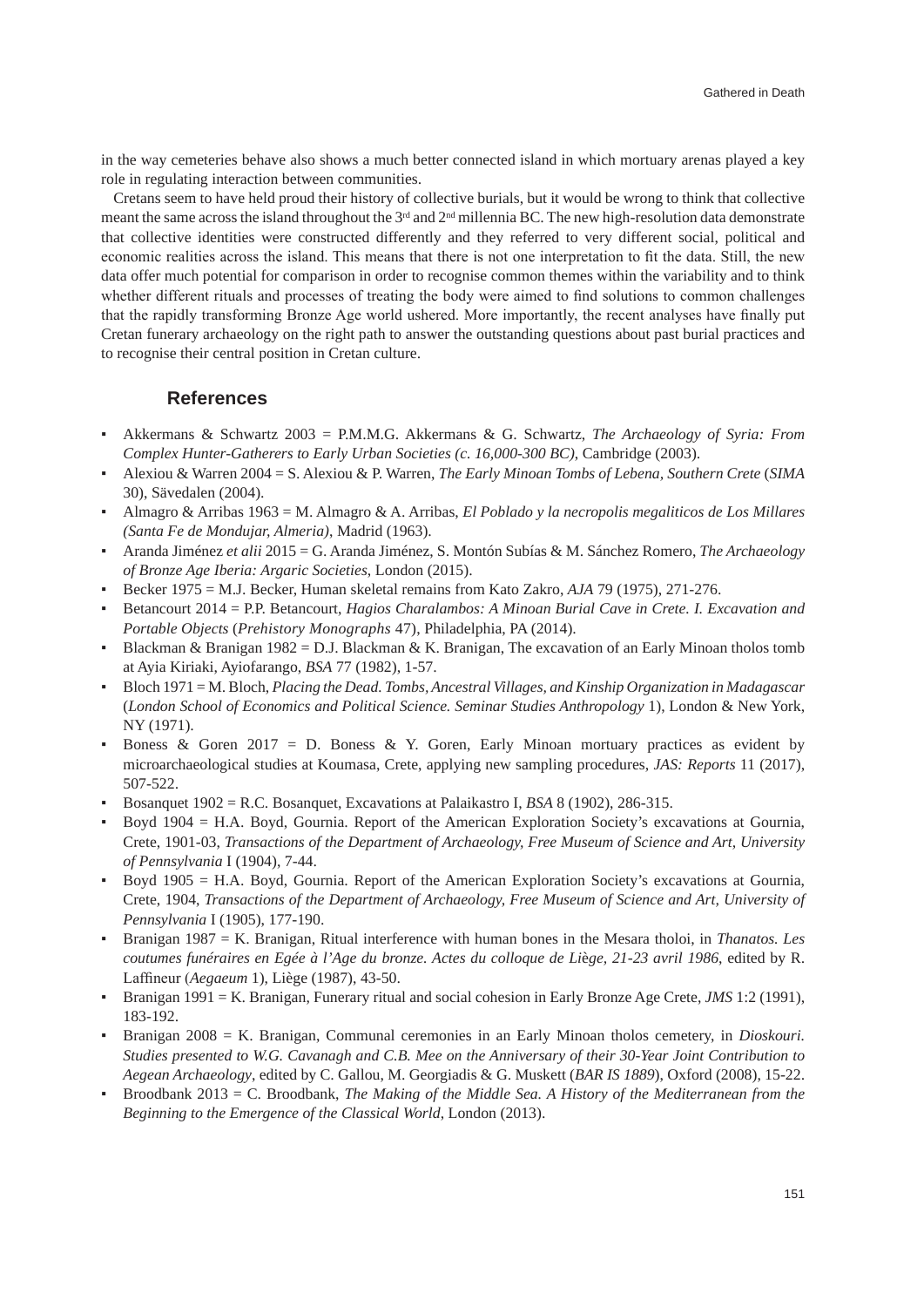in the way cemeteries behave also shows a much better connected island in which mortuary arenas played a key role in regulating interaction between communities.

Cretans seem to have held proud their history of collective burials, but it would be wrong to think that collective meant the same across the island throughout the 3<sup>rd</sup> and 2<sup>nd</sup> millennia BC. The new high-resolution data demonstrate that collective identities were constructed differently and they referred to very different social, political and economic realities across the island. This means that there is not one interpretation to fit the data. Still, the new data offer much potential for comparison in order to recognise common themes within the variability and to think whether different rituals and processes of treating the body were aimed to find solutions to common challenges that the rapidly transforming Bronze Age world ushered. More importantly, the recent analyses have finally put Cretan funerary archaeology on the right path to answer the outstanding questions about past burial practices and to recognise their central position in Cretan culture.

### **References**

- Akkermans & Schwartz 2003 = P.M.M.G. Akkermans & G. Schwartz, *The Archaeology of Syria: From Complex Hunter-Gatherers to Early Urban Societies (c. 16,000-300 BC)*, Cambridge (2003).
- Alexiou & Warren 2004 = S. Alexiou & P. Warren, *The Early Minoan Tombs of Lebena, Southern Crete* (*SIMA* 30), Sävedalen (2004).
- Almagro & Arribas 1963 = M. Almagro & A. Arribas, *El Poblado y la necropolis megaliticos de Los Millares (Santa Fe de Mondujar, Almeria)*, Madrid (1963).
- Aranda Jiménez *et alii* 2015 = G. Aranda Jiménez, S. Montón Subías & M. Sánchez Romero, *The Archaeology of Bronze Age Iberia: Argaric Societies*, London (2015).
- Becker 1975 = M.J. Becker, Human skeletal remains from Kato Zakro, *AJA* 79 (1975), 271-276.
- Betancourt 2014 = P.P. Betancourt, *Hagios Charalambos: A Minoan Burial Cave in Crete. I. Excavation and Portable Objects* (*Prehistory Monographs* 47), Philadelphia, PA (2014).
- Blackman & Branigan 1982 = D.J. Blackman & K. Branigan, The excavation of an Early Minoan tholos tomb at Ayia Kiriaki, Ayiofarango, *BSA* 77 (1982), 1-57.
- Bloch 1971 = M. Bloch, *Placing the Dead. Tombs, Ancestral Villages, and Kinship Organization in Madagascar*  (*London School of Economics and Political Science. Seminar Studies Anthropology* 1), London & New York, NY (1971).
- **•** Boness & Goren 2017 = D. Boness & Y. Goren, Early Minoan mortuary practices as evident by microarchaeological studies at Koumasa, Crete, applying new sampling procedures, *JAS: Reports* 11 (2017), 507-522.
- Bosanquet 1902 = R.C. Bosanquet, Excavations at Palaikastro I, *BSA* 8 (1902), 286-315.
- Boyd 1904 = H.A. Boyd, Gournia. Report of the American Exploration Society's excavations at Gournia, Crete, 1901-03, *Transactions of the Department of Archaeology, Free Museum of Science and Art, University of Pennsylvania* I (1904), 7-44.
- Boyd 1905 = H.A. Boyd, Gournia. Report of the American Exploration Society's excavations at Gournia, Crete, 1904, *Transactions of the Department of Archaeology, Free Museum of Science and Art, University of Pennsylvania* I (1905), 177-190.
- Branigan 1987 = K. Branigan, Ritual interference with human bones in the Mesara tholoi, in *Thanatos. Les coutumes funéraires en Egée à l'Age du bronze. Actes du colloque de Li*è*ge, 21-23 avril 1986*, edited by R. Laffineur (*Aegaeum* 1), Liège (1987), 43-50.
- Branigan 1991 = K. Branigan, Funerary ritual and social cohesion in Early Bronze Age Crete, *JMS* 1:2 (1991), 183-192.
- Branigan 2008 = K. Branigan, Communal ceremonies in an Early Minoan tholos cemetery, in *Dioskouri. Studies presented to W.G. Cavanagh and C.B. Mee on the Anniversary of their 30-Year Joint Contribution to Aegean Archaeology*, edited by C. Gallou, M. Georgiadis & G. Muskett (*BAR IS 1889*), Oxford (2008), 15-22.
- Broodbank 2013 = C. Broodbank, *The Making of the Middle Sea. A History of the Mediterranean from the Beginning to the Emergence of the Classical World*, London (2013).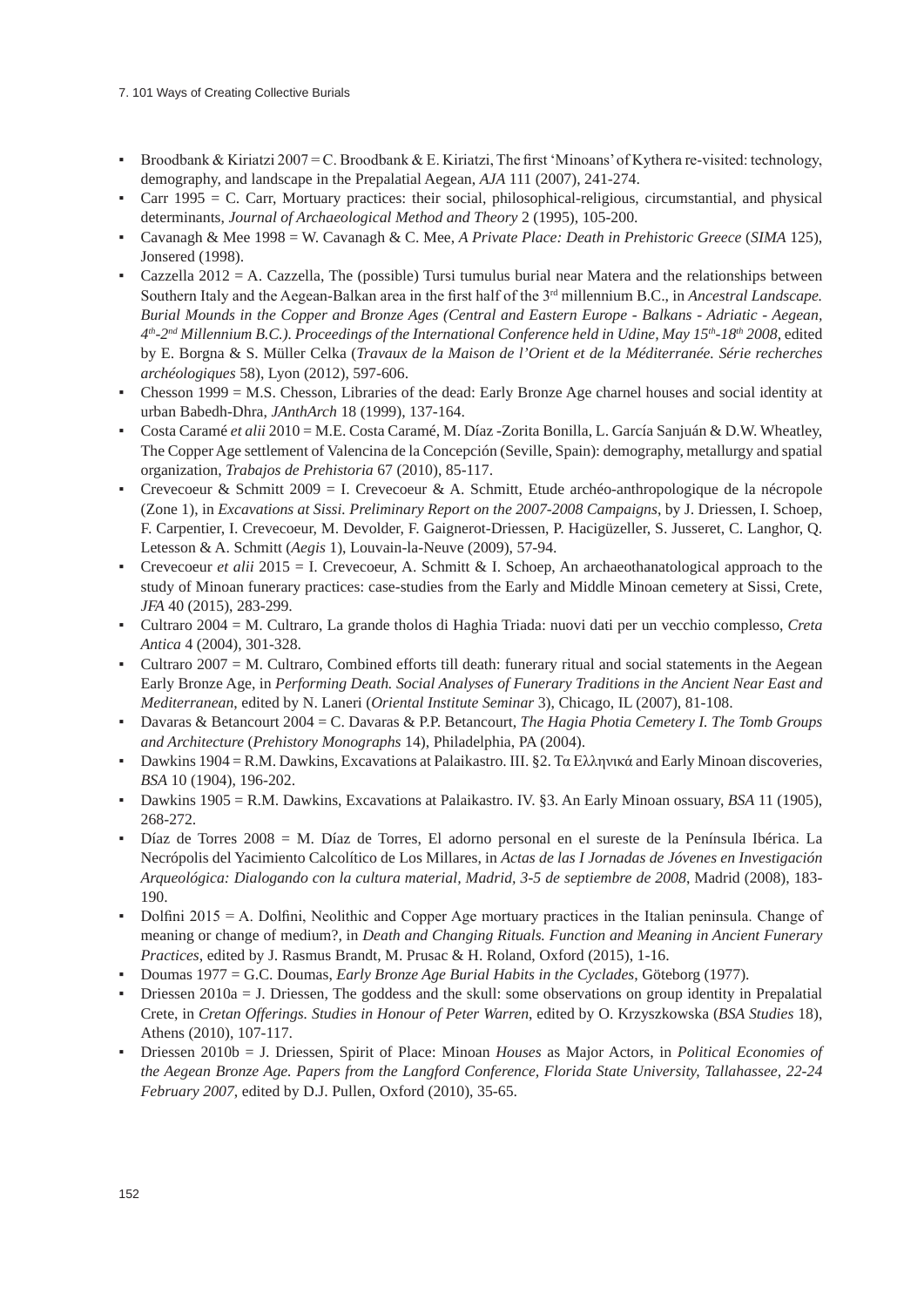- **•** Broodbank & Kiriatzi 2007 = C. Broodbank & E. Kiriatzi, The first 'Minoans' of Kythera re-visited: technology, demography, and landscape in the Prepalatial Aegean, *AJA* 111 (2007), 241-274.
- Carr 1995 = C. Carr, Mortuary practices: their social, philosophical-religious, circumstantial, and physical determinants, *Journal of Archaeological Method and Theory* 2 (1995), 105-200.
- Cavanagh & Mee 1998 = W. Cavanagh & C. Mee, *A Private Place: Death in Prehistoric Greece* (*SIMA* 125), Jonsered (1998).
- Cazzella 2012 = A. Cazzella, The (possible) Tursi tumulus burial near Matera and the relationships between Southern Italy and the Aegean-Balkan area in the first half of the 3<sup>rd</sup> millennium B.C., in *Ancestral Landscape*. *Burial Mounds in the Copper and Bronze Ages (Central and Eastern Europe - Balkans - Adriatic - Aegean, 4th-2nd Millennium B.C.). Proceedings of the International Conference held in Udine, May 15th-18th 2008*, edited by E. Borgna & S. Müller Celka (*Travaux de la Maison de l'Orient et de la Méditerranée. Série recherches archéologiques* 58), Lyon (2012), 597-606.
- Chesson 1999 = M.S. Chesson, Libraries of the dead: Early Bronze Age charnel houses and social identity at urban Babedh-Dhra, *JAnthArch* 18 (1999), 137-164.
- Costa Caramé *et alii* 2010 = M.E. Costa Caramé, M. Díaz -Zorita Bonilla, L. García Sanjuán & D.W. Wheatley, The Copper Age settlement of Valencina de la Concepción (Seville, Spain): demography, metallurgy and spatial organization, *Trabajos de Prehistoria* 67 (2010), 85-117.
- **•** Crevecoeur & Schmitt 2009 = I. Crevecoeur & A. Schmitt, Etude archéo-anthropologique de la nécropole (Zone 1), in *Excavations at Sissi. Preliminary Report on the 2007-2008 Campaigns*, by J. Driessen, I. Schoep, F. Carpentier, I. Crevecoeur, M. Devolder, F. Gaignerot-Driessen, P. Hacigüzeller, S. Jusseret, C. Langhor, Q. Letesson & A. Schmitt (*Aegis* 1), Louvain-la-Neuve (2009), 57-94.
- Crevecoeur *et alii* 2015 = I. Crevecoeur, A. Schmitt & I. Schoep, An archaeothanatological approach to the study of Minoan funerary practices: case-studies from the Early and Middle Minoan cemetery at Sissi, Crete, *JFA* 40 (2015), 283-299.
- Cultraro 2004 = M. Cultraro, La grande tholos di Haghia Triada: nuovi dati per un vecchio complesso, *Creta Antica* 4 (2004), 301-328.
- Cultraro 2007 = M. Cultraro, Combined efforts till death: funerary ritual and social statements in the Aegean Early Bronze Age, in *Performing Death. Social Analyses of Funerary Traditions in the Ancient Near East and Mediterranean*, edited by N. Laneri (*Oriental Institute Seminar* 3), Chicago, IL (2007), 81-108.
- Davaras & Betancourt 2004 = C. Davaras & P.P. Betancourt, *The Hagia Photia Cemetery I. The Tomb Groups and Architecture* (*Prehistory Monographs* 14), Philadelphia, PA (2004).
- Dawkins 1904 = R.M. Dawkins, Excavations at Palaikastro. III. §2. Τα Ελληνικά and Early Minoan discoveries, *BSA* 10 (1904), 196-202.
- Dawkins 1905 = R.M. Dawkins, Excavations at Palaikastro. IV. §3. An Early Minoan ossuary, *BSA* 11 (1905), 268-272.
- Díaz de Torres 2008 = M. Díaz de Torres, El adorno personal en el sureste de la Península Ibérica. La Necrópolis del Yacimiento Calcolítico de Los Millares, in *Actas de las I Jornadas de Jóvenes en Investigación Arqueológica: Dialogando con la cultura material, Madrid, 3-5 de septiembre de 2008*, Madrid (2008), 183- 190.
- Dolfini 2015 = A. Dolfini, Neolithic and Copper Age mortuary practices in the Italian peninsula. Change of meaning or change of medium?, in *Death and Changing Rituals. Function and Meaning in Ancient Funerary Practices*, edited by J. Rasmus Brandt, M. Prusac & H. Roland, Oxford (2015), 1-16.
- Doumas 1977 = G.C. Doumas, *Early Bronze Age Burial Habits in the Cyclades*, Göteborg (1977).
- Driessen  $2010a = J$ . Driessen, The goddess and the skull: some observations on group identity in Prepalatial Crete, in *Cretan Offerings. Studies in Honour of Peter Warren*, edited by O. Krzyszkowska (*BSA Studies* 18), Athens (2010), 107-117.
- Driessen 2010b = J. Driessen, Spirit of Place: Minoan *Houses* as Major Actors, in *Political Economies of the Aegean Bronze Age. Papers from the Langford Conference, Florida State University, Tallahassee, 22-24 February 2007*, edited by D.J. Pullen, Oxford (2010), 35-65.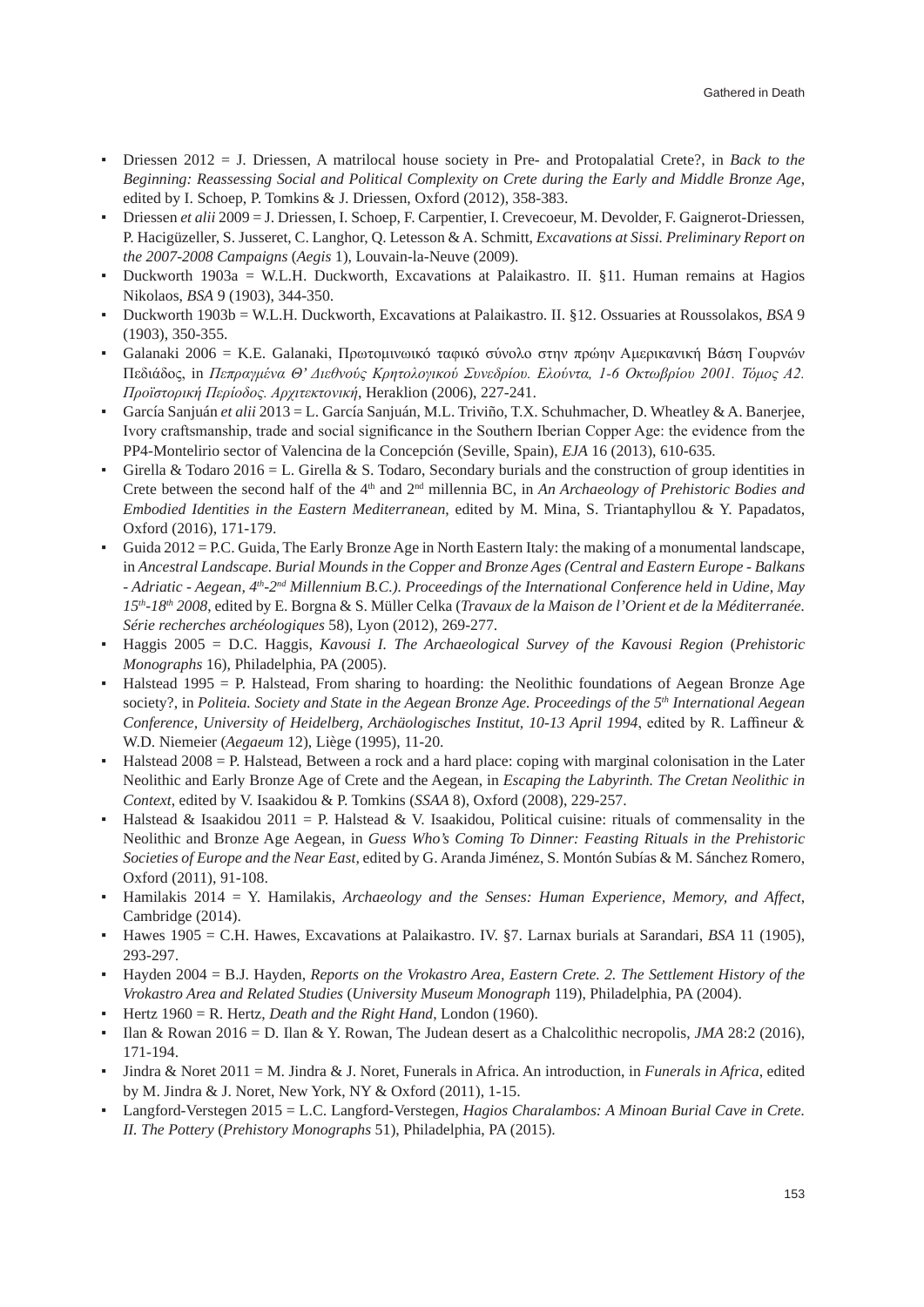- Driessen 2012 = J. Driessen, A matrilocal house society in Pre- and Protopalatial Crete?, in *Back to the Beginning: Reassessing Social and Political Complexity on Crete during the Early and Middle Bronze Age*, edited by I. Schoep, P. Tomkins & J. Driessen, Oxford (2012), 358-383.
- Driessen *et alii* 2009 = J. Driessen, I. Schoep, F. Carpentier, I. Crevecoeur, M. Devolder, F. Gaignerot-Driessen, P. Hacigüzeller, S. Jusseret, C. Langhor, Q. Letesson & A. Schmitt, *Excavations at Sissi. Preliminary Report on the 2007-2008 Campaigns* (*Aegis* 1), Louvain-la-Neuve (2009).
- Duckworth 1903a = W.L.H. Duckworth, Excavations at Palaikastro. II. §11. Human remains at Hagios Nikolaos, *BSA* 9 (1903), 344-350.
- Duckworth 1903b = W.L.H. Duckworth, Excavations at Palaikastro. II. §12. Ossuaries at Roussolakos, *BSA* 9 (1903), 350-355.
- Galanaki 2006 = K.E. Galanaki, Πρωτομινωικό ταφικό σύνολο στην πρώην Αμερικανική Βάση Γουρνών Πεδιάδος, in *Πεπραγμένα Θ' Διεθνούς Κρητολογικού Συνεδρίου. Ελούντα, 1-6 Οκτωβρίου 2001. Τόμος Α2. Προϊστορική Περίοδος. Αρχιτεκτονική*, Heraklion (2006), 227-241.
- García Sanjuán *et alii* 2013 = L. García Sanjuán, M.L. Triviño, T.X. Schuhmacher, D. Wheatley & A. Banerjee, Ivory craftsmanship, trade and social significance in the Southern Iberian Copper Age: the evidence from the PP4-Montelirio sector of Valencina de la Concepción (Seville, Spain), *EJA* 16 (2013), 610-635.
- Girella & Todaro 2016 = L. Girella & S. Todaro, Secondary burials and the construction of group identities in Crete between the second half of the 4th and 2nd millennia BC, in *An Archaeology of Prehistoric Bodies and Embodied Identities in the Eastern Mediterranean*, edited by M. Mina, S. Triantaphyllou & Y. Papadatos, Oxford (2016), 171-179.
- Guida  $2012 = P.C. Guida, The Early Bronze Age in North Eastern Italy: the making of a monumental landscape,$ in *Ancestral Landscape. Burial Mounds in the Copper and Bronze Ages (Central and Eastern Europe - Balkans - Adriatic - Aegean, 4th-2nd Millennium B.C.). Proceedings of the International Conference held in Udine, May 15th-18th 2008*, edited by E. Borgna & S. Müller Celka (*Travaux de la Maison de l'Orient et de la Méditerranée. Série recherches archéologiques* 58), Lyon (2012), 269-277.
- Haggis 2005 = D.C. Haggis, *Kavousi I. The Archaeological Survey of the Kavousi Region* (*Prehistoric Monographs* 16), Philadelphia, PA (2005).
- Halstead 1995 = P. Halstead, From sharing to hoarding: the Neolithic foundations of Aegean Bronze Age society?, in *Politeia. Society and State in the Aegean Bronze Age. Proceedings of the 5th International Aegean Conference, University of Heidelberg, Archäologisches Institut, 10-13 April 1994*, edited by R. Laffineur & W.D. Niemeier (*Aegaeum* 12), Liège (1995), 11-20.
- $Halstead 2008 = P$ . Halstead, Between a rock and a hard place: coping with marginal colonisation in the Later Neolithic and Early Bronze Age of Crete and the Aegean, in *Escaping the Labyrinth. The Cretan Neolithic in Context*, edited by V. Isaakidou & P. Tomkins (*SSAA* 8), Oxford (2008), 229-257.
- Halstead & Isaakidou 2011 = P. Halstead & V. Isaakidou, Political cuisine: rituals of commensality in the Neolithic and Bronze Age Aegean, in *Guess Who's Coming To Dinner: Feasting Rituals in the Prehistoric Societies of Europe and the Near East,* edited by G. Aranda Jiménez, S. Montón Subías & M. Sánchez Romero, Oxford (2011), 91-108.
- Hamilakis 2014 = Y. Hamilakis, *Archaeology and the Senses: Human Experience, Memory, and Affect*, Cambridge (2014).
- Hawes 1905 = C.H. Hawes, Excavations at Palaikastro. IV. §7. Larnax burials at Sarandari, *BSA* 11 (1905), 293-297.
- Hayden 2004 = B.J. Hayden, *Reports on the Vrokastro Area, Eastern Crete. 2. The Settlement History of the Vrokastro Area and Related Studies* (*University Museum Monograph* 119), Philadelphia, PA (2004).
- Hertz 1960 = R. Hertz, *Death and the Right Hand*, London (1960).
- Ilan & Rowan 2016 = D. Ilan & Y. Rowan, The Judean desert as a Chalcolithic necropolis, *JMA* 28:2 (2016), 171-194.
- Jindra & Noret 2011 = M. Jindra & J. Noret, Funerals in Africa. An introduction, in *Funerals in Africa*, edited by M. Jindra & J. Noret, New York, NY & Oxford (2011), 1-15.
- Langford-Verstegen 2015 = L.C. Langford-Verstegen, *Hagios Charalambos: A Minoan Burial Cave in Crete. II. The Pottery* (*Prehistory Monographs* 51), Philadelphia, PA (2015).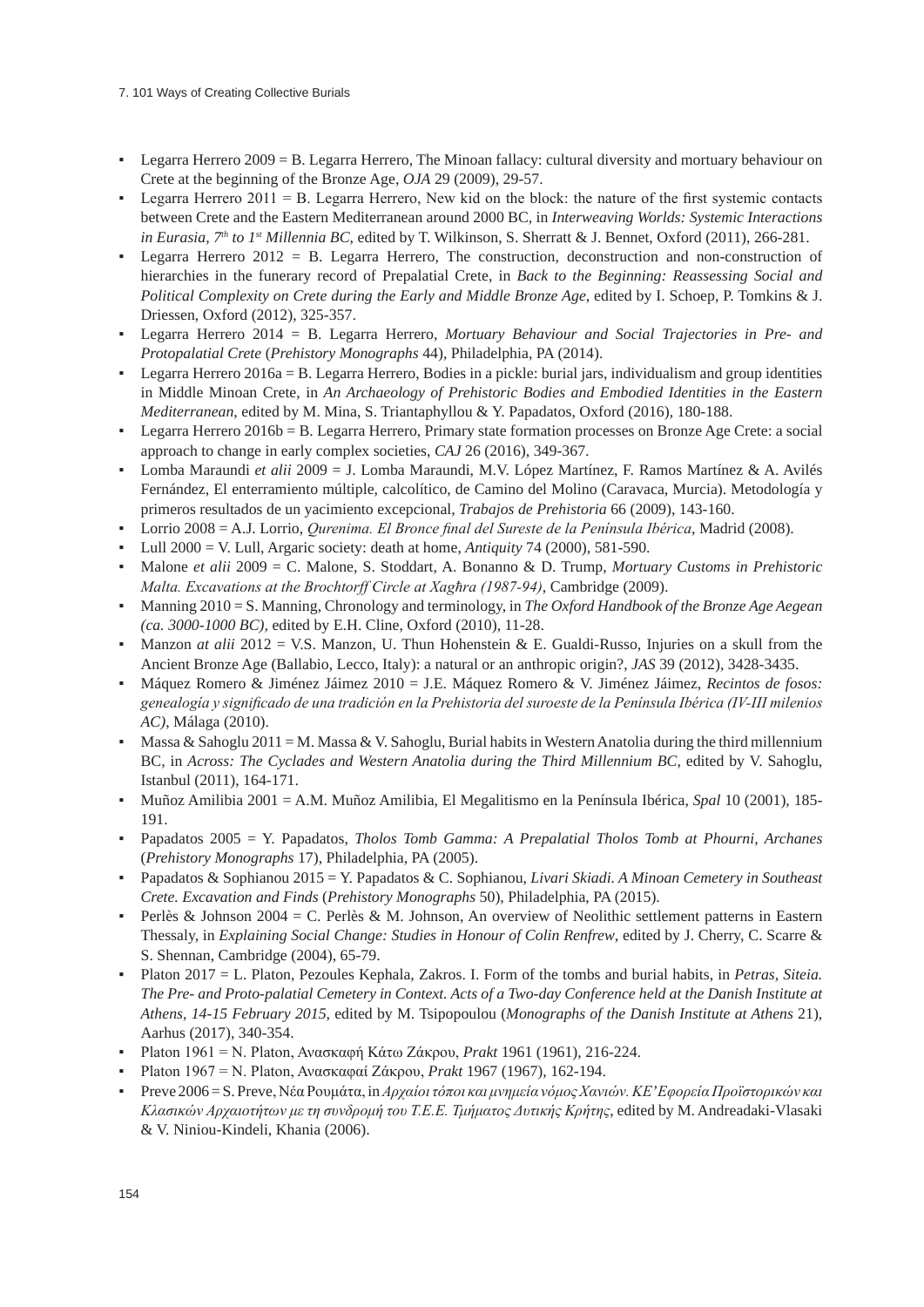### 7. 101 Ways of Creating Collective Burials

- Legarra Herrero 2009 = B. Legarra Herrero, The Minoan fallacy: cultural diversity and mortuary behaviour on Crete at the beginning of the Bronze Age, *OJA* 29 (2009), 29-57.
- Legarra Herrero 2011 = B. Legarra Herrero, New kid on the block: the nature of the first systemic contacts between Crete and the Eastern Mediterranean around 2000 BC, in *Interweaving Worlds: Systemic Interactions in Eurasia, 7th to 1st Millennia BC*, edited by T. Wilkinson, S. Sherratt & J. Bennet, Oxford (2011), 266-281.
- Legarra Herrero 2012 = B. Legarra Herrero, The construction, deconstruction and non-construction of hierarchies in the funerary record of Prepalatial Crete, in *Back to the Beginning: Reassessing Social and Political Complexity on Crete during the Early and Middle Bronze Age*, edited by I. Schoep, P. Tomkins & J. Driessen, Oxford (2012), 325-357.
- Legarra Herrero 2014 = B. Legarra Herrero, *Mortuary Behaviour and Social Trajectories in Pre- and Protopalatial Crete* (*Prehistory Monographs* 44), Philadelphia, PA (2014).
- Legarra Herrero 2016a = B. Legarra Herrero, Bodies in a pickle: burial jars, individualism and group identities in Middle Minoan Crete, in *An Archaeology of Prehistoric Bodies and Embodied Identities in the Eastern Mediterranean*, edited by M. Mina, S. Triantaphyllou & Y. Papadatos, Oxford (2016), 180-188.
- Legarra Herrero 2016b = B. Legarra Herrero, Primary state formation processes on Bronze Age Crete: a social approach to change in early complex societies, *CAJ* 26 (2016), 349-367.
- Lomba Maraundi *et alii* 2009 = J. Lomba Maraundi, M.V. López Martínez, F. Ramos Martínez & A. Avilés Fernández, El enterramiento múltiple, calcolítico, de Camino del Molino (Caravaca, Murcia). Metodología y primeros resultados de un yacimiento excepcional, *Trabajos de Prehistoria* 66 (2009), 143-160.
- Lorrio 2008 = A.J. Lorrio, *Qurenima. El Bronce final del Sureste de la Península Ibérica*, Madrid (2008).
- Lull 2000 = V. Lull, Argaric society: death at home, *Antiquity* 74 (2000), 581-590.
- Malone *et alii* 2009 = C. Malone, S. Stoddart, A. Bonanno & D. Trump, *Mortuary Customs in Prehistoric Malta. Excavations at the Brochtorff Circle at Xagħra (1987-94)*, Cambridge (2009).
- Manning 2010 = S. Manning, Chronology and terminology, in *The Oxford Handbook of the Bronze Age Aegean (ca. 3000-1000 BC),* edited by E.H. Cline, Oxford (2010), 11-28.
- Manzon *at alii* 2012 = V.S. Manzon, U. Thun Hohenstein & E. Gualdi-Russo, Injuries on a skull from the Ancient Bronze Age (Ballabio, Lecco, Italy): a natural or an anthropic origin?, *JAS* 39 (2012), 3428-3435.
- Máquez Romero & Jiménez Jáimez 2010 = J.E. Máquez Romero & V. Jiménez Jáimez, *Recintos de fosos: genealogía y significado de una tradición en la Prehistoria del suroeste de la Península Ibérica (IV-III milenios AC)*, Málaga (2010).
- **Massa & Sahoglu 2011 = M. Massa & V. Sahoglu, Burial habits in Western Anatolia during the third millennium** BC, in *Across: The Cyclades and Western Anatolia during the Third Millennium BC*, edited by V. Sahoglu, Istanbul (2011), 164-171.
- Muñoz Amilibia 2001 = A.M. Muñoz Amilibia, El Megalitismo en la Península Ibérica, *Spal* 10 (2001), 185- 191.
- Papadatos 2005 = Y. Papadatos, *Tholos Tomb Gamma: A Prepalatial Tholos Tomb at Phourni, Archanes* (*Prehistory Monographs* 17), Philadelphia, PA (2005).
- Papadatos & Sophianou 2015 = Y. Papadatos & C. Sophianou, *Livari Skiadi. A Minoan Cemetery in Southeast Crete. Excavation and Finds* (*Prehistory Monographs* 50), Philadelphia, PA (2015).
- Perlès & Johnson 2004 = C. Perlès & M. Johnson, An overview of Neolithic settlement patterns in Eastern Thessaly, in *Explaining Social Change: Studies in Honour of Colin Renfrew*, edited by J. Cherry, C. Scarre & S. Shennan, Cambridge (2004), 65-79.
- Platon 2017 = L. Platon, Pezoules Kephala, Zakros. I. Form of the tombs and burial habits, in *Petras, Siteia. The Pre- and Proto-palatial Cemetery in Context. Acts of a Two-day Conference held at the Danish Institute at Athens, 14-15 February 2015*, edited by M. Tsipopoulou (*Monographs of the Danish Institute at Athens* 21), Aarhus (2017), 340-354.
- Platon 1961 = N. Platon, Ανασκαφή Κάτω Ζάκρου, *Prakt* 1961 (1961), 216-224.
- Platon 1967 = N. Platon, Ανασκαφαί Ζάκρου, *Prakt* 1967 (1967), 162-194.
- Preve 2006 = S. Preve, Νέα Ρουμάτα, in*Αρχαίοι τόποι και μνημεία νόμος Χανιών. ΚΕ' Εφορεία Προϊστορικών και Κλασικών Αρχαιοτήτων με τη συνδρομή του Τ.Ε.Ε. Τμήματος Δυτικής Κρήτης*, edited by M. Andreadaki-Vlasaki & V. Niniou-Kindeli, Khania (2006).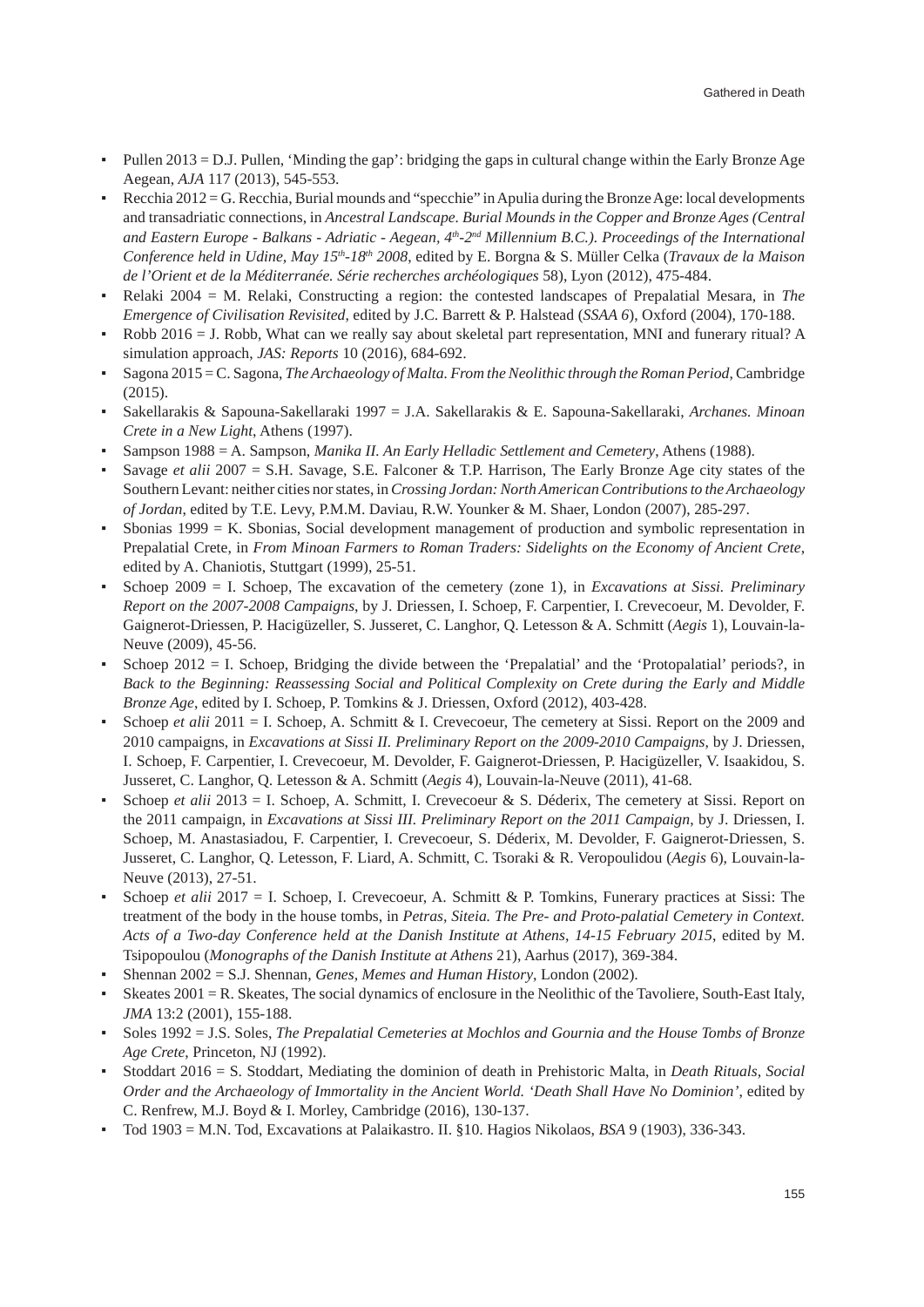- Pullen 2013 = D.J. Pullen, 'Minding the gap': bridging the gaps in cultural change within the Early Bronze Age Aegean, *AJA* 117 (2013), 545-553.
- Recchia 2012 = G. Recchia, Burial mounds and "specchie" in Apulia during the Bronze Age: local developments and transadriatic connections, in *Ancestral Landscape. Burial Mounds in the Copper and Bronze Ages (Central and Eastern Europe - Balkans - Adriatic - Aegean, 4th-2nd Millennium B.C.). Proceedings of the International Conference held in Udine, May 15th-18th 2008*, edited by E. Borgna & S. Müller Celka (*Travaux de la Maison de l'Orient et de la Méditerranée. Série recherches archéologiques* 58), Lyon (2012), 475-484.
- Relaki 2004 = M. Relaki, Constructing a region: the contested landscapes of Prepalatial Mesara, in *The Emergence of Civilisation Revisited*, edited by J.C. Barrett & P. Halstead (*SSAA 6*), Oxford (2004), 170-188.
- Robb 2016 = J. Robb, What can we really say about skeletal part representation, MNI and funerary ritual? A simulation approach, *JAS: Reports* 10 (2016), 684-692.
- Sagona 2015 = C. Sagona, *The Archaeology of Malta. From the Neolithic through the Roman Period*, Cambridge (2015).
- Sakellarakis & Sapouna-Sakellaraki 1997 = J.A. Sakellarakis & E. Sapouna-Sakellaraki, *Archanes. Minoan Crete in a New Light*, Athens (1997).
- Sampson 1988 = A. Sampson, *Manika II. An Early Helladic Settlement and Cemetery*, Athens (1988).
- Savage *et alii* 2007 = S.H. Savage, S.E. Falconer & T.P. Harrison, The Early Bronze Age city states of the Southern Levant: neither cities nor states, in *Crossing Jordan: North American Contributions to the Archaeology of Jordan*, edited by T.E. Levy, P.M.M. Daviau, R.W. Younker & M. Shaer, London (2007), 285-297.
- Sbonias  $1999 = K$ . Sbonias, Social development management of production and symbolic representation in Prepalatial Crete, in *From Minoan Farmers to Roman Traders: Sidelights on the Economy of Ancient Crete*, edited by A. Chaniotis, Stuttgart (1999), 25-51.
- Schoep 2009 = I. Schoep, The excavation of the cemetery (zone 1), in *Excavations at Sissi. Preliminary Report on the 2007-2008 Campaigns*, by J. Driessen, I. Schoep, F. Carpentier, I. Crevecoeur, M. Devolder, F. Gaignerot-Driessen, P. Hacigüzeller, S. Jusseret, C. Langhor, Q. Letesson & A. Schmitt (*Aegis* 1), Louvain-la-Neuve (2009), 45-56.
- Schoep 2012 = I. Schoep, Bridging the divide between the 'Prepalatial' and the 'Protopalatial' periods?, in *Back to the Beginning: Reassessing Social and Political Complexity on Crete during the Early and Middle Bronze Age*, edited by I. Schoep, P. Tomkins & J. Driessen, Oxford (2012), 403-428.
- Schoep *et alii* 2011 = I. Schoep, A. Schmitt & I. Crevecoeur, The cemetery at Sissi. Report on the 2009 and 2010 campaigns, in *Excavations at Sissi II. Preliminary Report on the 2009-2010 Campaigns*, by J. Driessen, I. Schoep, F. Carpentier, I. Crevecoeur, M. Devolder, F. Gaignerot-Driessen, P. Hacigüzeller, V. Isaakidou, S. Jusseret, C. Langhor, Q. Letesson & A. Schmitt (*Aegis* 4), Louvain-la-Neuve (2011), 41-68.
- Schoep *et alii* 2013 = I. Schoep, A. Schmitt, I. Crevecoeur & S. Déderix, The cemetery at Sissi. Report on the 2011 campaign, in *Excavations at Sissi III. Preliminary Report on the 2011 Campaign*, by J. Driessen, I. Schoep, M. Anastasiadou, F. Carpentier, I. Crevecoeur, S. Déderix, M. Devolder, F. Gaignerot-Driessen, S. Jusseret, C. Langhor, Q. Letesson, F. Liard, A. Schmitt, C. Tsoraki & R. Veropoulidou (*Aegis* 6), Louvain-la-Neuve (2013), 27-51.
- Schoep *et alii* 2017 = I. Schoep, I. Crevecoeur, A. Schmitt & P. Tomkins, Funerary practices at Sissi: The treatment of the body in the house tombs, in *Petras, Siteia. The Pre- and Proto-palatial Cemetery in Context. Acts of a Two-day Conference held at the Danish Institute at Athens, 14-15 February 2015*, edited by M. Tsipopoulou (*Monographs of the Danish Institute at Athens* 21), Aarhus (2017), 369-384.
- Shennan 2002 = S.J. Shennan, *Genes, Memes and Human History*, London (2002).
- Skeates 2001 = R. Skeates, The social dynamics of enclosure in the Neolithic of the Tavoliere, South-East Italy, *JMA* 13:2 (2001), 155-188.
- Soles 1992 = J.S. Soles, *The Prepalatial Cemeteries at Mochlos and Gournia and the House Tombs of Bronze Age Crete*, Princeton, NJ (1992).
- Stoddart 2016 = S. Stoddart, Mediating the dominion of death in Prehistoric Malta, in *Death Rituals, Social Order and the Archaeology of Immortality in the Ancient World. 'Death Shall Have No Dominion'*, edited by C. Renfrew, M.J. Boyd & I. Morley, Cambridge (2016), 130-137.
- Tod 1903 = M.N. Tod, Excavations at Palaikastro. II. §10. Hagios Nikolaos, *BSA* 9 (1903), 336-343.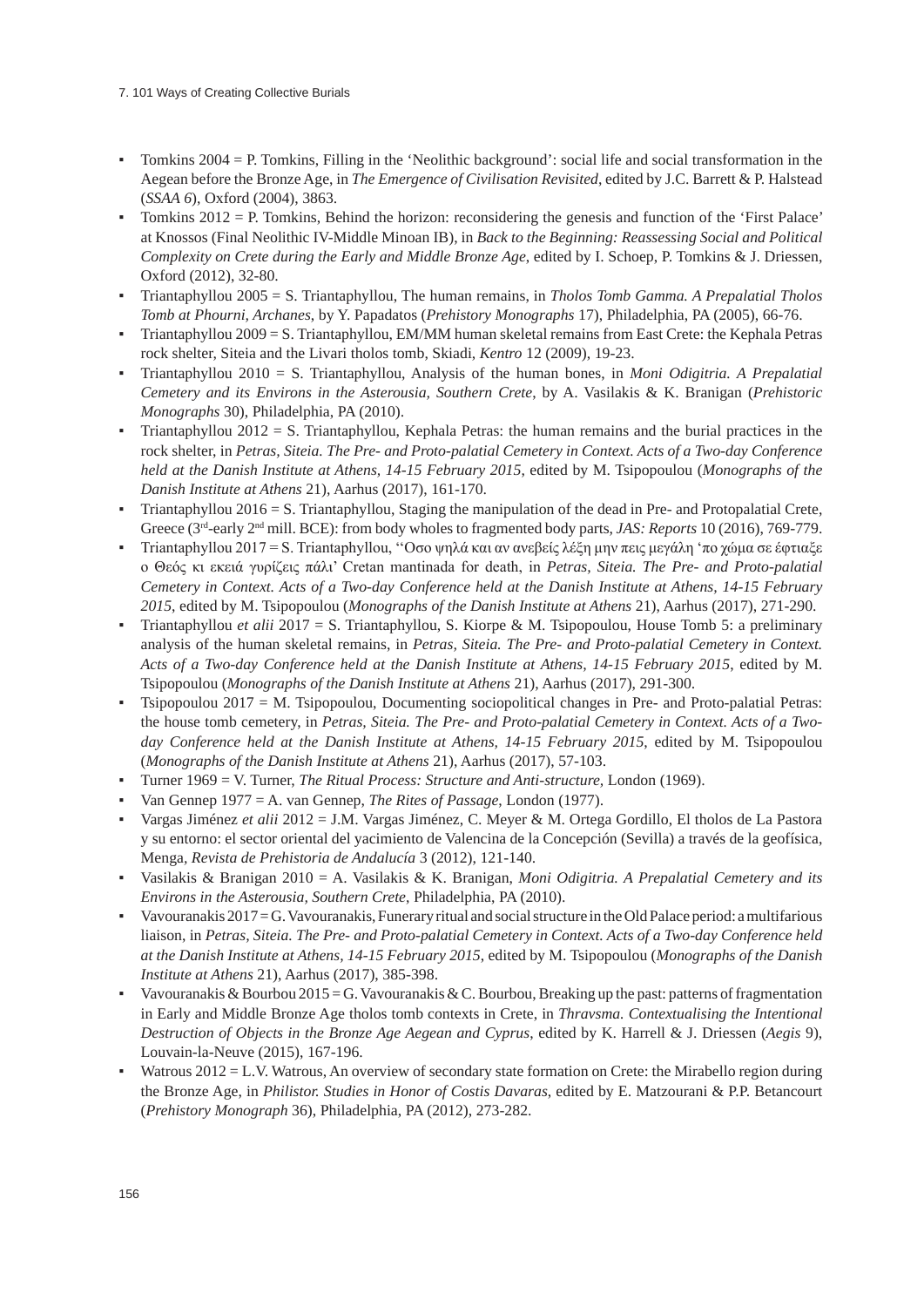- Tomkins 2004 = P. Tomkins, Filling in the 'Neolithic background': social life and social transformation in the Aegean before the Bronze Age, in *The Emergence of Civilisation Revisited*, edited by J.C. Barrett & P. Halstead (*SSAA 6*), Oxford (2004), 3863.
- Tomkins  $2012 = P$ . Tomkins, Behind the horizon: reconsidering the genesis and function of the 'First Palace' at Knossos (Final Neolithic IV-Middle Minoan IB), in *Back to the Beginning: Reassessing Social and Political Complexity on Crete during the Early and Middle Bronze Age*, edited by I. Schoep, P. Tomkins & J. Driessen, Oxford (2012), 32-80.
- Triantaphyllou 2005 = S. Triantaphyllou, The human remains, in *Tholos Tomb Gamma. A Prepalatial Tholos Tomb at Phourni, Archanes*, by Y. Papadatos (*Prehistory Monographs* 17), Philadelphia, PA (2005), 66-76.
- Triantaphyllou 2009 = S. Triantaphyllou, EM/MM human skeletal remains from East Crete: the Kephala Petras rock shelter, Siteia and the Livari tholos tomb, Skiadi, *Kentro* 12 (2009), 19-23.
- Triantaphyllou 2010 = S. Triantaphyllou, Analysis of the human bones, in *Moni Odigitria. A Prepalatial Cemetery and its Environs in the Asterousia, Southern Crete*, by A. Vasilakis & K. Branigan (*Prehistoric Monographs* 30), Philadelphia, PA (2010).
- Triantaphyllou  $2012 = S$ . Triantaphyllou, Kephala Petras: the human remains and the burial practices in the rock shelter, in *Petras, Siteia. The Pre- and Proto-palatial Cemetery in Context. Acts of a Two-day Conference held at the Danish Institute at Athens, 14-15 February 2015*, edited by M. Tsipopoulou (*Monographs of the Danish Institute at Athens* 21), Aarhus (2017), 161-170.
- Triantaphyllou  $2016 = S$ . Triantaphyllou, Staging the manipulation of the dead in Pre- and Protopalatial Crete, Greece (3<sup>rd</sup>-early 2<sup>nd</sup> mill. BCE): from body wholes to fragmented body parts, *JAS: Reports* 10 (2016), 769-779.
- Triantaphyllou 2017 = S. Triantaphyllou, ''Οσο ψηλά και αν ανεβείς λέξη μην πεις μεγάλη 'πο χώμα σε έφτιαξε ο Θεός κι εκειά γυρίζεις πάλι' Cretan mantinada for death, in *Petras, Siteia. The Pre- and Proto-palatial Cemetery in Context. Acts of a Two-day Conference held at the Danish Institute at Athens, 14-15 February 2015*, edited by M. Tsipopoulou (*Monographs of the Danish Institute at Athens* 21), Aarhus (2017), 271-290.
- Triantaphyllou *et alii* 2017 = S. Triantaphyllou, S. Kiorpe & M. Tsipopoulou, House Tomb 5: a preliminary analysis of the human skeletal remains, in *Petras, Siteia. The Pre- and Proto-palatial Cemetery in Context. Acts of a Two-day Conference held at the Danish Institute at Athens, 14-15 February 2015*, edited by M. Tsipopoulou (*Monographs of the Danish Institute at Athens* 21), Aarhus (2017), 291-300.
- Tsipopoulou 2017 = M. Tsipopoulou, Documenting sociopolitical changes in Pre- and Proto-palatial Petras: the house tomb cemetery, in *Petras, Siteia. The Pre- and Proto-palatial Cemetery in Context. Acts of a Twoday Conference held at the Danish Institute at Athens, 14-15 February 2015*, edited by M. Tsipopoulou (*Monographs of the Danish Institute at Athens* 21), Aarhus (2017), 57-103.
- Turner 1969 = V. Turner, *The Ritual Process: Structure and Anti-structure,* London (1969).
- Van Gennep 1977 = A. van Gennep, *The Rites of Passage*, London (1977).
- Vargas Jiménez *et alii* 2012 = J.M. Vargas Jiménez, C. Meyer & M. Ortega Gordillo, El tholos de La Pastora y su entorno: el sector oriental del yacimiento de Valencina de la Concepción (Sevilla) a través de la geofísica, Menga*, Revista de Prehistoria de Andalucía* 3 (2012), 121-140.
- Vasilakis & Branigan 2010 = A. Vasilakis & K. Branigan, *Moni Odigitria. A Prepalatial Cemetery and its Environs in the Asterousia, Southern Crete*, Philadelphia, PA (2010).
- Vavouranakis  $2017 = G$ . Vavouranakis, Funerary ritual and social structure in the Old Palace period: a multifarious liaison, in *Petras, Siteia. The Pre- and Proto-palatial Cemetery in Context. Acts of a Two-day Conference held at the Danish Institute at Athens, 14-15 February 2015*, edited by M. Tsipopoulou (*Monographs of the Danish Institute at Athens* 21), Aarhus (2017), 385-398.
- Vavouranakis & Bourbou 2015 = G. Vavouranakis & C. Bourbou, Breaking up the past: patterns of fragmentation in Early and Middle Bronze Age tholos tomb contexts in Crete, in *Thravsma. Contextualising the Intentional Destruction of Objects in the Bronze Age Aegean and Cyprus*, edited by K. Harrell & J. Driessen (*Aegis* 9), Louvain-la-Neuve (2015), 167-196.
- Watrous  $2012 = L.V.$  Watrous, An overview of secondary state formation on Crete: the Mirabello region during the Bronze Age, in *Philistor. Studies in Honor of Costis Davaras*, edited by E. Matzourani & P.P. Betancourt (*Prehistory Monograph* 36), Philadelphia, PA (2012), 273-282.